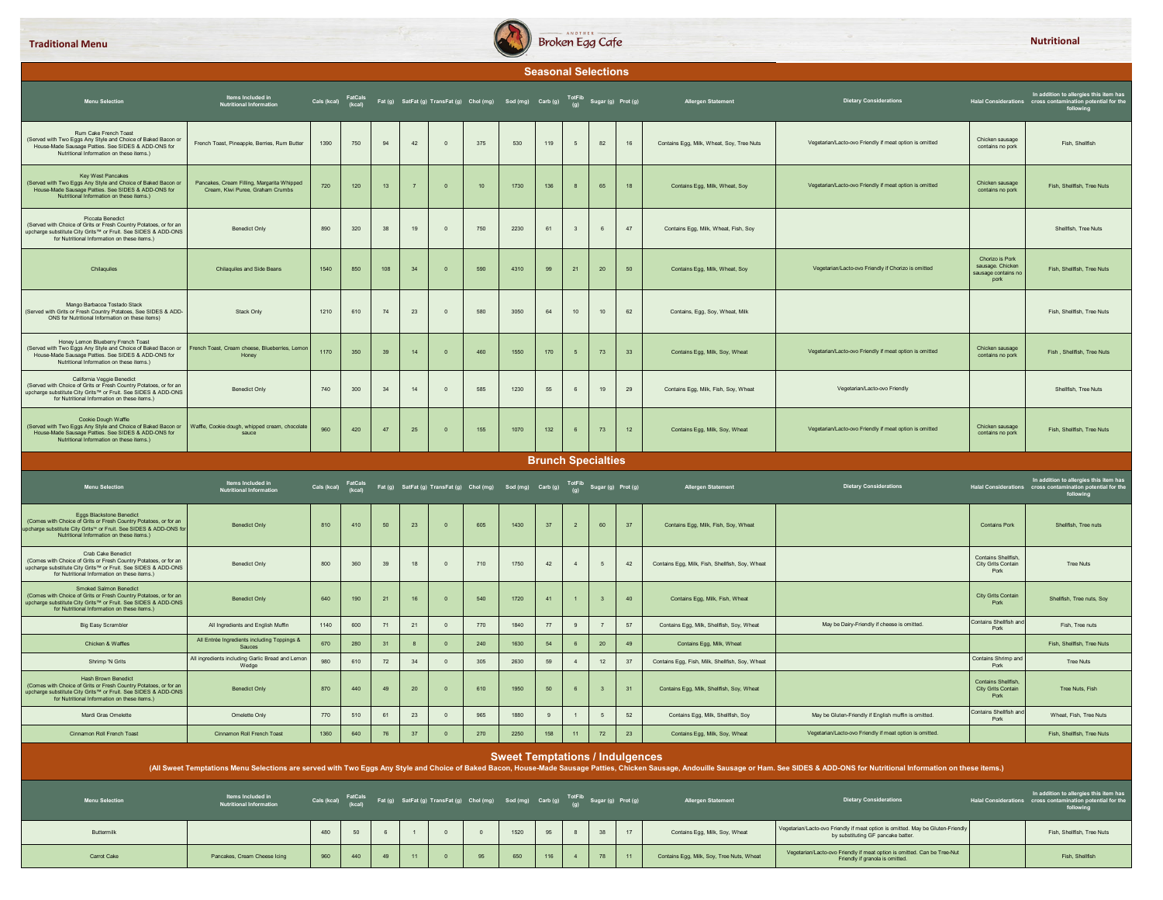

|                                                                                                                                                                                                                                   |                                                                                |                     |     |          |                  |                         |                                                                                                                                                               |                                        |     | <b>Seasonal Selections</b> |                         |        |                                                 |                                                                                                                                                                                                                                |                                                                    |                                                                                                                                           |
|-----------------------------------------------------------------------------------------------------------------------------------------------------------------------------------------------------------------------------------|--------------------------------------------------------------------------------|---------------------|-----|----------|------------------|-------------------------|---------------------------------------------------------------------------------------------------------------------------------------------------------------|----------------------------------------|-----|----------------------------|-------------------------|--------|-------------------------------------------------|--------------------------------------------------------------------------------------------------------------------------------------------------------------------------------------------------------------------------------|--------------------------------------------------------------------|-------------------------------------------------------------------------------------------------------------------------------------------|
| <b>Menu Selection</b>                                                                                                                                                                                                             | Items Included in<br>Nutritional Information                                   |                     |     |          |                  |                         | FatCals Fat(g) SatFat(g) TransFat(g) Chol(mg) Sod(mg) Carb(g) Sugar(g) Prot(g)<br>Cals(kcal) (kcal) Fat(g) SatFat(g) TransFat(g) Chol(mg) Sod(mg) Carb(g) (g) |                                        |     |                            |                         |        | <b>Allergen Statement</b>                       | <b>Dietary Considerations</b>                                                                                                                                                                                                  |                                                                    | In addition to allergies this item has<br>Halal Considerations cross contamination potential for the<br>following                         |
| Rum Cake French Toast<br>(Served with Two Eggs Any Style and Choice of Baked Bacon or<br>House-Made Sausage Patties. See SIDES & ADD-ONS for<br>Nutritional Information on these items.)                                          | French Toast, Pineapple, Berries, Rum Butter                                   | 1390                | 750 | 94       | 42               | $\overline{0}$          | 375                                                                                                                                                           | 530                                    | 119 | 5                          | 82                      | 16     | Contains Egg, Milk, Wheat, Soy, Tree Nuts       | Vegetarian/Lacto-ovo Friendly if meat option is omitted                                                                                                                                                                        | Chicken sausage<br>contains no pork                                | Fish, Shellfish                                                                                                                           |
| Key West Pancakes<br>(Served with Two Eggs Any Style and Choice of Baked Bacon or<br>House-Made Sausage Patties. See SIDES & ADD-ONS for<br>Nutritional Information on these items.)                                              | Pancakes, Cream Filling, Margarita Whipped<br>Cream, Kiwi Puree, Graham Crumbs | 720                 | 120 | 13       | $\overline{7}$   | $\overline{0}$          | 10 <sub>1</sub>                                                                                                                                               | 1730                                   | 136 | 8                          | 65                      | 18     | Contains Egg, Milk, Wheat, Soy                  | Vegetarian/Lacto-ovo Friendly if meat option is omitted                                                                                                                                                                        | Chicken sausage<br>contains no pork                                | Fish, Shellfish, Tree Nuts                                                                                                                |
| <b>Piccata Benedict</b><br>(Served with Choice of Grits or Fresh Country Potatoes, or for an<br>upcharge substitute City Grits™ or Fruit. See SIDES & ADD-ONS<br>for Nutritional Information on these items.)                     | <b>Benedict Only</b>                                                           | 890                 | 320 | 38       | 19               | $\overline{0}$          | 750                                                                                                                                                           | 2230                                   | 61  | $\overline{\mathbf{3}}$    |                         | 47     | Contains Egg, Milk, Wheat, Fish, Soy            |                                                                                                                                                                                                                                |                                                                    | Shellfish, Tree Nuts                                                                                                                      |
| Chilaquiles                                                                                                                                                                                                                       | <b>Chilaquiles and Side Beans</b>                                              | 1540                | 850 | 108      | 34               | $\overline{\mathbf{0}}$ | 590                                                                                                                                                           | 4310                                   | 99  | 21                         | 20                      | 50     | Contains Egg, Milk, Wheat, Soy                  | Vegetarian/Lacto-ovo Friendly if Chorizo is omitted                                                                                                                                                                            | Chorizo is Pork<br>sausage. Chicken<br>sausage contains no<br>pork | Fish, Shellfish, Tree Nuts                                                                                                                |
| Mango Barbacoa Tostado Stack<br>(Served with Grits or Fresh Country Potatoes, See SIDES & ADD-<br>ONS for Nutritional Information on these items)                                                                                 | Stack Only                                                                     | 1210                | 610 | 74       | 23               | $\mathbb O$             | 580                                                                                                                                                           | 3050                                   | 64  | 10                         | 10                      | 62     | Contains, Egg, Soy, Wheat, Milk                 |                                                                                                                                                                                                                                |                                                                    | Fish, Shellfish, Tree Nuts                                                                                                                |
| Honey Lemon Blueberry French Toast<br>(Served with Two Eggs Any Style and Choice of Baked Bacon or<br>House-Made Sausage Patties. See SIDES & ADD-ONS for<br>Nutritional Information on these items.)                             | French Toast, Cream cheese, Blueberries, Lemon<br>Honey                        | 1170                | 350 | 39       | 14               | $\overline{0}$          | 460                                                                                                                                                           | 1550                                   | 170 | 5                          | 73                      | 33     | Contains Egg, Milk, Soy, Wheat                  | Vegetarian/Lacto-ovo Friendly if meat option is omitted                                                                                                                                                                        | Chicken sausage<br>contains no pork                                | Fish, Shellfish, Tree Nuts                                                                                                                |
| California Veggie Benedict<br>(Served with Choice of Grits or Fresh Country Potatoes, or for an<br>upcharge substitute City Grits™ or Fruit. See SIDES & ADD-ONS<br>for Nutritional Information on these items.)                  | <b>Benedict Only</b>                                                           | 740                 | 300 | 34       | 14               | $\overline{0}$          | 585                                                                                                                                                           | 1230                                   | 55  | 6                          | 19                      | 29     | Contains Egg, Milk, Fish, Soy, Wheat            | Vegetarian/Lacto-ovo Friendly                                                                                                                                                                                                  |                                                                    | Shellfish, Tree Nuts                                                                                                                      |
| Cookie Dough Waffle<br>(Served with Two Eggs Any Style and Choice of Baked Bacon or<br>House-Made Sausage Patties. See SIDES & ADD-ONS for<br>Nutritional Information on these items.)                                            | Waffle, Cookie dough, whipped cream, chocolate<br>sauce                        | 960                 | 420 | 47       | 25               | $\mathbf{0}$            | 155                                                                                                                                                           | 1070                                   | 132 | 6                          | 73                      | 12     | Contains Egg, Milk, Soy, Wheat                  | Vegetarian/Lacto-ovo Friendly if meat option is omitted                                                                                                                                                                        | Chicken sausage<br>contains no pork                                | Fish, Shellfish, Tree Nuts                                                                                                                |
|                                                                                                                                                                                                                                   |                                                                                |                     |     |          |                  |                         |                                                                                                                                                               |                                        |     | <b>Brunch Specialties</b>  |                         |        |                                                 |                                                                                                                                                                                                                                |                                                                    |                                                                                                                                           |
|                                                                                                                                                                                                                                   |                                                                                |                     |     |          |                  |                         |                                                                                                                                                               |                                        |     |                            |                         |        |                                                 |                                                                                                                                                                                                                                |                                                                    |                                                                                                                                           |
| <b>Menu Selection</b>                                                                                                                                                                                                             | Items Included in<br>Nutritional Information                                   |                     |     |          |                  |                         | Cals (kcal) FatCals Fat (g) SatFat (g) TransFat (g) Chol (mg) Sod (mg) Carb (g) TotFib Sugar (g) Prot (g)                                                     |                                        |     |                            |                         |        | <b>Allergen Statement</b>                       | <b>Dietary Considerations</b>                                                                                                                                                                                                  |                                                                    |                                                                                                                                           |
| <b>Eggs Blackstone Benedict</b><br>(Comes with Choice of Grits or Fresh Country Potatoes, or for an<br>upcharge substitute City Grits <sup>16</sup> or Fruit. See SIDES & ADD-ONS for<br>Nutritional Information on these items.) | <b>Benedict Only</b>                                                           | 810                 | 410 | 50       | 23               | $\overline{\mathbf{0}}$ | 605                                                                                                                                                           | 1430                                   | 37  | $\overline{2}$             | 60                      | 37     | Contains Egg, Milk, Fish, Soy, Wheat            |                                                                                                                                                                                                                                | <b>Contains Pork</b>                                               | In addition to allergies this item has<br>Halal Considerations cross contamination potential for the<br>following<br>Shellfish, Tree nuts |
| Crab Cake Benedict<br>(Cornes with Choice of Grits or Fresh Country Potatoes, or for an<br>upcharge substitute City Grits™ or Fruit. See SIDES & ADD-ONS<br>for Nutritional Information on these items.)                          | <b>Benedict Only</b>                                                           | 800                 | 360 | 39       | 18               | $\circ$                 | 710                                                                                                                                                           | 1750                                   | 42  | $\overline{4}$             |                         | 42     | Contains Egg, Milk, Fish, Shellfish, Soy, Wheat |                                                                                                                                                                                                                                | <b>Contains Shellfish</b><br>City Grits Contain<br>Pork            | <b>Tree Nuts</b>                                                                                                                          |
| <b>Smoked Salmon Benedict</b><br>(Comes with Choice of Grits or Fresh Country Potatoes, or for an<br>upcharge substitute City Grits™ or Fruit. See SIDES & ADD-ONS<br>for Nutritional Information on these items.)                | <b>Benedict Only</b>                                                           | 640                 | 190 | 21       | 16               | $\mathbf{0}$            | 540                                                                                                                                                           | 1720                                   | 41  |                            |                         | 40     | Contains Egg, Milk, Fish, Wheat                 |                                                                                                                                                                                                                                | <b>City Grits Contain</b><br>Pork                                  | Shellfish, Tree nuts, Soy                                                                                                                 |
| <b>Big Easy Scrambler</b>                                                                                                                                                                                                         | All Ingredients and English Muffin                                             | 1140                | 600 | 71       | 21               | $\mathbf 0$             | 770                                                                                                                                                           | 1840                                   | 77  | 9                          |                         | $57\,$ | Contains Egg, Milk, Shellfish, Soy, Wheat       | May be Dairy-Friendly if cheese is omitted.                                                                                                                                                                                    | Contains Shellfish ar<br>Pork                                      | Fish, Tree nuts                                                                                                                           |
| Chicken & Waffles                                                                                                                                                                                                                 | All Entrée Ingredients including Toppings &<br>Sauces                          | 670                 | 280 | 31       | $\boldsymbol{8}$ | $\overline{0}$          | 240                                                                                                                                                           | 1630                                   | 54  | 6                          | $20\degree$             | 49     | Contains Egg, Milk, Wheat                       |                                                                                                                                                                                                                                |                                                                    | Fish, Shellfish, Tree Nuts                                                                                                                |
| Shrimp 'N Grits                                                                                                                                                                                                                   | All ingredients including Garlic Bread and Lemon<br>Wedge                      | 980                 | 610 | $\bf 72$ | 34               | $\mathbf 0$             | 305                                                                                                                                                           | 2630                                   | 59  | $\overline{4}$             | 12                      | 37     | Contains Egg, Fish, Milk, Shellfish, Soy, Wheat |                                                                                                                                                                                                                                | Contains Shrimp and<br>Pork                                        | Tree Nuts                                                                                                                                 |
| <b>Hash Brown Benedict</b><br>(Comes with Choice of Grits or Fresh Country Potatoes, or for an<br>upcharge substitute City Grits™ or Fruit. See SIDES & ADD-ONS<br>for Nutritional Information on these items.)                   | <b>Benedict Only</b>                                                           | 870                 | 440 | 49       | 20               | $\overline{0}$          | 610                                                                                                                                                           | 1950                                   | 50  | 6                          | $\overline{\mathbf{3}}$ | 31     | Contains Egg, Milk, Shellfish, Soy, Wheat       |                                                                                                                                                                                                                                | <b>Contains Shellfish</b><br><b>City Grits Contain</b><br>Pork     | Tree Nuts, Fish                                                                                                                           |
| Mardi Gras Omelette                                                                                                                                                                                                               | Omelette Only                                                                  | 770                 | 510 | 61       | 23               | $\mathbb O$             | 965                                                                                                                                                           | 1880                                   | 9   | $\overline{1}$             | $5\phantom{.0}$         | $52\,$ | Contains Egg, Milk, Shellfish, Soy              | May be Gluten-Friendly if English muffin is omitted.                                                                                                                                                                           | Contains Shellfish and<br>Pork                                     | Wheat, Fish, Tree Nuts                                                                                                                    |
| Cinnamon Roll French Toast                                                                                                                                                                                                        | Cinnamon Roll French Toast                                                     | 1360                | 640 | 76       | 37               | $\mathbf{0}$            | 270                                                                                                                                                           | 2250                                   | 158 | 11 <sub>1</sub>            | 72                      | 23     | Contains Egg, Milk, Soy, Wheat                  | Vegetarian/Lacto-ovo Friendly if meat option is omitted.                                                                                                                                                                       |                                                                    | Fish, Shellfish, Tree Nuts                                                                                                                |
|                                                                                                                                                                                                                                   |                                                                                |                     |     |          |                  |                         |                                                                                                                                                               | <b>Sweet Temptations / Indulgences</b> |     |                            |                         |        |                                                 | (All Sweet Temptations Menu Selections are served with Two Eggs Any Style and Choice of Baked Bacon, House-Made Sausage Patties, Chicken Sausage, Andouille Sausage or Ham. See SIDES & ADD-ONS for Nutritional Information on |                                                                    |                                                                                                                                           |
| <b>Menu Selection</b>                                                                                                                                                                                                             | Items Included in<br><b>Nutritional Information</b>                            | Cals (kcal) FatCals |     |          |                  |                         | Fat (g) SatFat (g) TransFat (g) Chol (mg) Sod (mg) Carb (g) <sup>TotFib</sup> Sugar (g) Prot (g)                                                              |                                        |     |                            |                         |        | <b>Allergen Statement</b>                       | <b>Dietary Considerations</b>                                                                                                                                                                                                  |                                                                    | In addition to allergies this item has<br>Halal Considerations cross contamination potential for the<br>following                         |
| Buttermilk                                                                                                                                                                                                                        |                                                                                | 480                 | 50  | 6        |                  | $\overline{0}$          | $\overline{0}$                                                                                                                                                | 1520                                   | 95  | 8                          | 38                      | 17     | Contains Egg, Milk, Soy, Wheat                  | Vegetarian/Lacto-ovo Friendly if meat option is omitted. May be Gluten-Friendly<br>by substituting GF pancake batter.                                                                                                          |                                                                    | Fish, Shellfish, Tree Nuts                                                                                                                |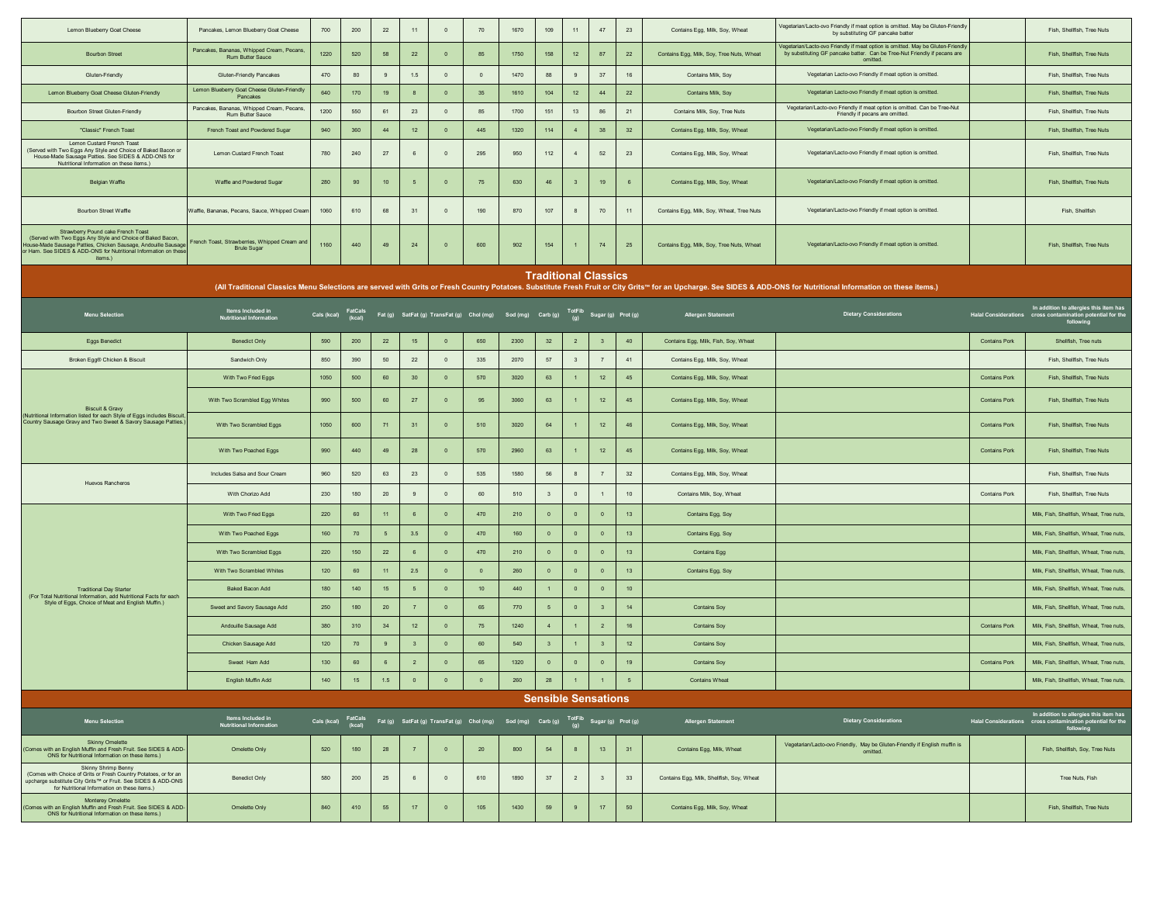| Lemon Blueberry Goat Cheese                                                                                                                                                                                                                    | Pancakes, Lemon Blueberry Goat Cheese                               | 700                           | 200    | $22\,$         | 11                      | $\overline{0}$ | 70                                                                                                        | 1670 | 109                     | 11                          | 47                      | 23          | Contains Egg, Milk, Soy, Wheat            | Vegetarian/Lacto-ovo Friendly if meat option is omitted. May be Gluten-Friendly<br>by substituting GF pancake batter                                                                                               |                      | Fish, Shellfish, Tree Nuts                                                                                        |
|------------------------------------------------------------------------------------------------------------------------------------------------------------------------------------------------------------------------------------------------|---------------------------------------------------------------------|-------------------------------|--------|----------------|-------------------------|----------------|-----------------------------------------------------------------------------------------------------------|------|-------------------------|-----------------------------|-------------------------|-------------|-------------------------------------------|--------------------------------------------------------------------------------------------------------------------------------------------------------------------------------------------------------------------|----------------------|-------------------------------------------------------------------------------------------------------------------|
| <b>Bourbon Street</b>                                                                                                                                                                                                                          | Pancakes, Bananas, Whipped Cream, Pecans<br>Rum Butter Sauce        | 1220                          | 520    | 58             | $22\,$                  | $\overline{0}$ | 85                                                                                                        | 1750 | 158                     | $12$                        | 87                      | $22\,$      | Contains Egg, Milk, Soy, Tree Nuts, Wheat | Vegetarian/Lacto-ovo Friendly if meat option is omitted. May be Gluten-Friendly<br>by substituting GF pancake batter. Can be Tree-Nut Friendly if pecans are<br>omitted.                                           |                      | Fish, Shellfish, Tree Nuts                                                                                        |
| Gluten-Friendly                                                                                                                                                                                                                                | <b>Gluten-Friendly Pancakes</b>                                     | 470                           | 80     | 9              | 1.5                     | $\mathbf 0$    | $\,$ 0                                                                                                    | 1470 | 88                      | 9                           | $37\,$                  | 16          | Contains Milk, Soy                        | Vegetarian Lacto-ovo Friendly if meat option is omitted.                                                                                                                                                           |                      | Fish, Shellfish, Tree Nuts                                                                                        |
| Lemon Blueberry Goat Cheese Gluten-Friendly                                                                                                                                                                                                    | Lemon Blueberry Goat Cheese Gluten-Friendly<br>Pancakes             | 640                           | 170    | 19             | 8                       | $\mathbf{0}$   | $35\,$                                                                                                    | 1610 | 104                     | $12\,$                      | 44                      | $22\,$      | Contains Milk, Soy                        | Vegetarian Lacto-ovo Friendly if meat option is omitted.                                                                                                                                                           |                      | Fish, Shellfish, Tree Nuts                                                                                        |
| Bourbon Street Gluten-Friendly                                                                                                                                                                                                                 | Pancakes, Bananas, Whipped Cream, Pecans,<br>Rum Butter Sauce       | 1200                          | 550    | 61             | 23                      | $\,$ 0 $\,$    | 85                                                                                                        | 1700 | 151                     | 13                          | 86                      | 21          | Contains Milk, Soy, Tree Nuts             | Vegetarian/Lacto-ovo Friendly if meat option is omitted. Can be Tree-Nut<br>Friendly if pecans are omitted.                                                                                                        |                      | Fish, Shellfish, Tree Nuts                                                                                        |
| "Classic" French Toast                                                                                                                                                                                                                         | French Toast and Powdered Sugar                                     | 940                           | 360    | 44             | 12                      | $\mathbf 0$    | 445                                                                                                       | 1320 | $114$                   | $\overline{4}$              | 38                      | 32          | Contains Egg, Milk, Soy, Wheat            | Vegetarian/Lacto-ovo Friendly if meat option is omitted.                                                                                                                                                           |                      | Fish, Shellfish, Tree Nuts                                                                                        |
| Lemon Custard French Toast<br>(Served with Two Eggs Any Style and Choice of Baked Bacon or<br>House-Made Sausage Patties. See SIDES & ADD-ONS for<br>Nutritional Information on these items.)                                                  | Lemon Custard French Toast                                          | 780                           | 240    | 27             | 6                       | $\overline{0}$ | 295                                                                                                       | 950  | 112                     | $\overline{4}$              | $52\,$                  | 23          | Contains Egg, Milk, Soy, Wheat            | Vegetarian/Lacto-ovo Friendly if meat option is omitted.                                                                                                                                                           |                      | Fish, Shellfish, Tree Nuts                                                                                        |
| Belgian Waffle                                                                                                                                                                                                                                 | Waffle and Powdered Sugar                                           | 280                           | 90     | 10             | 5                       | $\mathbf{0}$   | 75                                                                                                        | 630  | 46                      | $\mathbf{3}$                | 19                      | $\mathbf 6$ | Contains Egg, Milk, Soy, Wheat            | Vegetarian/Lacto-ovo Friendly if meat option is omitted.                                                                                                                                                           |                      | Fish, Shellfish, Tree Nuts                                                                                        |
| <b>Bourbon Street Waffle</b>                                                                                                                                                                                                                   | Waffle, Bananas, Pecans, Sauce, Whipped Cream                       | 1060                          | 610    | 68             | 31                      | $\overline{0}$ | 190                                                                                                       | 870  | 107                     | 8                           | 70                      | 11          | Contains Egg, Milk, Soy, Wheat, Tree Nuts | Vegetarian/Lacto-ovo Friendly if meat option is omitted.                                                                                                                                                           |                      | Fish, Shellfish                                                                                                   |
| Strawberry Pound cake French Toas<br>(Served with Two Eggs Any Style and Choice of Baked Bacon,<br>House-Made Sausage Patties, Chicken Sausage, Andouille Sausage<br>or Ham. See SIDES & ADD-ONS for Nutritional Information on the<br>items.) | French Toast, Strawberries, Whipped Cream and<br><b>Brule Sugar</b> | 1160                          | 440    | 49             | ${\bf 24}$              | $\mathbf 0$    | 600                                                                                                       | 902  | 154                     |                             | 74                      | 25          | Contains Egg, Milk, Soy, Tree Nuts, Wheat | Vegetarian/Lacto-ovo Friendly if meat option is omitted.                                                                                                                                                           |                      | Fish, Shellfish, Tree Nuts                                                                                        |
|                                                                                                                                                                                                                                                |                                                                     |                               |        |                |                         |                |                                                                                                           |      |                         | <b>Traditional Classics</b> |                         |             |                                           |                                                                                                                                                                                                                    |                      |                                                                                                                   |
|                                                                                                                                                                                                                                                |                                                                     |                               |        |                |                         |                |                                                                                                           |      |                         |                             |                         |             |                                           | (All Traditional Classics Menu Selections are served with Grits or Fresh Country Potatoes. Substitute Fresh Fruit or City Grits" for an Upcharge. See SIDES & ADD-ONS for Nutritional Information on these items.) |                      |                                                                                                                   |
| <b>Menu Selection</b>                                                                                                                                                                                                                          | Items Included in<br>Nutritional Information                        | Cals (kcal) FatCals<br>(kcal) |        |                |                         |                | Fat (g) SatFat (g) TransFat (g) Chol (mg) Sod (mg) Carb (g) TotFib Sugar (g) Prot (g)                     |      |                         |                             |                         |             | <b>Allergen Statement</b>                 | <b>Dietary Considerations</b>                                                                                                                                                                                      |                      | In addition to allergies this item has<br>Halal Considerations cross contamination potential for the<br>following |
| <b>Eggs Benedict</b>                                                                                                                                                                                                                           | <b>Benedict Only</b>                                                | 590                           | 200    | $22\,$         | 15                      | $\overline{0}$ | 650                                                                                                       | 2300 | $32\,$                  | $\overline{2}$              | $\overline{\mathbf{3}}$ | 40          | Contains Egg, Milk, Fish, Soy, Wheat      |                                                                                                                                                                                                                    | <b>Contains Pork</b> | Shellfish, Tree nuts                                                                                              |
| Broken Egg® Chicken & Biscuit                                                                                                                                                                                                                  | Sandwich Only                                                       | 850                           | 390    | $50\,$         | 22                      | $\overline{0}$ | 335                                                                                                       | 2070 | $57\,$                  | $\overline{\mathbf{3}}$     | $\overline{7}$          | 41          | Contains Egg, Milk, Soy, Wheat            |                                                                                                                                                                                                                    |                      | Fish, Shellfish, Tree Nuts                                                                                        |
|                                                                                                                                                                                                                                                | With Two Fried Eggs                                                 | 1050                          | 500    | 60             | 30 <sub>o</sub>         | $\overline{0}$ | 570                                                                                                       | 3020 | 63                      | $\overline{1}$              | 12                      | 45          | Contains Egg, Milk, Soy, Wheat            |                                                                                                                                                                                                                    | <b>Contains Pork</b> | Fish, Shellfish, Tree Nuts                                                                                        |
| <b>Biscuit &amp; Gravy</b><br>(Nutritional Information listed for each Style of Eggs includes Biscuit,                                                                                                                                         | With Two Scrambled Egg Whites                                       | 990                           | 500    | 60             | $27\,$                  | $\mathbf{0}$   | 95                                                                                                        | 3060 | 63                      |                             | $12$                    | 45          | Contains Egg, Milk, Soy, Wheat            |                                                                                                                                                                                                                    | <b>Contains Pork</b> | Fish, Shellfish, Tree Nuts                                                                                        |
| Country Sausage Gravy and Two Sweet & Savory Sausage Patties.)                                                                                                                                                                                 | With Two Scrambled Eggs                                             | 1050                          | 600    | 71             | 31                      | $\mathbf{0}$   | 510                                                                                                       | 3020 | 64                      |                             | 12                      | 46          | Contains Egg, Milk, Soy, Wheat            |                                                                                                                                                                                                                    | <b>Contains Pork</b> | Fish, Shellfish, Tree Nuts                                                                                        |
|                                                                                                                                                                                                                                                | With Two Poached Eggs                                               | 990                           | 440    | 49             | ${\bf 28}$              | $\overline{0}$ | 570                                                                                                       | 2960 | 63                      |                             | 12                      | 45          | Contains Egg, Milk, Soy, Wheat            |                                                                                                                                                                                                                    | <b>Contains Pork</b> | Fish, Shellfish, Tree Nuts                                                                                        |
| Huevos Rancheros                                                                                                                                                                                                                               | Includes Salsa and Sour Cream                                       | 960                           | 520    | 63             | $23\,$                  | $\overline{0}$ | 535                                                                                                       | 1580 | ${\bf 56}$              | 8                           | $\overline{7}$          | 32          | Contains Egg, Milk, Soy, Wheat            |                                                                                                                                                                                                                    |                      | Fish, Shellfish, Tree Nuts                                                                                        |
|                                                                                                                                                                                                                                                | With Chorizo Add                                                    | 230                           | 180    | $20\,$         | 9                       | $\mathbf 0$    | 60                                                                                                        | 510  | $\overline{\mathbf{3}}$ | $\circ$                     | $\mathbf{1}$            | 10          | Contains Milk, Soy, Wheat                 |                                                                                                                                                                                                                    | <b>Contains Pork</b> | Fish, Shellfish, Tree Nuts                                                                                        |
|                                                                                                                                                                                                                                                | With Two Fried Eggs                                                 | 220                           | 60     | 11             | 6                       | $\overline{0}$ | 470                                                                                                       | 210  | $\overline{0}$          | $\overline{0}$              | $\overline{0}$          | 13          | Contains Egg, Soy                         |                                                                                                                                                                                                                    |                      | Milk, Fish, Shellfish, Wheat, Tree nuts,                                                                          |
|                                                                                                                                                                                                                                                | With Two Poached Eggs                                               | 160                           | 70     | 5              | 3.5                     | $\mathbf{0}$   | 470                                                                                                       | 160  | $\mathbf 0$             | $\overline{\mathbf{0}}$     | $\mathbf 0$             | 13          | Contains Egg, Soy                         |                                                                                                                                                                                                                    |                      | Milk, Fish, Shellfish, Wheat, Tree nuts,                                                                          |
|                                                                                                                                                                                                                                                | With Two Scrambled Eggs                                             | 220                           | 150    | $22\,$         | 6                       | $\overline{0}$ | 470                                                                                                       | 210  | $\circ$                 | $\overline{0}$              | $\mathbf 0$             | 13          | <b>Contains Egg</b>                       |                                                                                                                                                                                                                    |                      | Milk, Fish, Shellfish, Wheat, Tree nuts,                                                                          |
|                                                                                                                                                                                                                                                | With Two Scrambled Whites                                           | 120                           | 60     | 11             | 2.5                     | $\overline{0}$ | $\overline{0}$                                                                                            | 260  | $\circ$                 | $\overline{\mathbf{0}}$     | $\bullet$               | 13          | Contains Egg, Soy                         |                                                                                                                                                                                                                    |                      | Milk, Fish, Shellfish, Wheat, Tree nuts,                                                                          |
| <b>Traditional Day Starter</b><br>(For Total Nutritional Information, add Nutritional Facts for each                                                                                                                                           | Baked Bacon Add                                                     | 180                           | 140    | 15             | 5 <sub>5</sub>          | $\mathbf 0$    | 10 <sub>1</sub>                                                                                           | 440  |                         | $\overline{\mathbf{0}}$     | $\mathbf 0$             | 10          |                                           |                                                                                                                                                                                                                    |                      | Milk, Fish, Shellfish, Wheat, Tree nuts,                                                                          |
| Style of Eggs, Choice of Meat and English Muffin.)                                                                                                                                                                                             | Sweet and Savory Sausage Add                                        | 250                           | 180    | 20             | $\overline{7}$          | $\mathbf{0}$   | 65                                                                                                        | 770  | 5                       | $\overline{0}$              | $\overline{\mathbf{3}}$ | 14          | <b>Contains Soy</b>                       |                                                                                                                                                                                                                    |                      | Milk, Fish, Shellfish, Wheat, Tree nuts,                                                                          |
|                                                                                                                                                                                                                                                | Andouille Sausage Add                                               | 380                           | 310    | 34             | 12                      | $\,$ 0         | 75                                                                                                        | 1240 | $\overline{4}$          | $\overline{1}$              | $\overline{2}$          | 16          | <b>Contains Soy</b>                       |                                                                                                                                                                                                                    | <b>Contains Pork</b> | Milk, Fish, Shellfish, Wheat, Tree nuts,                                                                          |
|                                                                                                                                                                                                                                                | Chicken Sausage Add                                                 | 120                           | 70     | $\overline{9}$ | $\overline{\mathbf{3}}$ | $\,$ 0         | 60                                                                                                        | 540  | $\overline{\mathbf{3}}$ | $\overline{1}$              | $\overline{\mathbf{3}}$ | 12          | <b>Contains Soy</b>                       |                                                                                                                                                                                                                    |                      | Milk, Fish, Shellfish, Wheat, Tree nuts,                                                                          |
|                                                                                                                                                                                                                                                | Sweet Ham Add                                                       | 130                           | 60     | 6              | $\overline{2}$          | $\overline{0}$ | 65                                                                                                        | 1320 | $\overline{0}$          | $\overline{0}$              | $\mathbf 0$             | 19          | <b>Contains Soy</b>                       |                                                                                                                                                                                                                    | <b>Contains Pork</b> | Milk, Fish, Shellfish, Wheat, Tree nuts,                                                                          |
|                                                                                                                                                                                                                                                | English Muffin Add                                                  | 140                           | $15\,$ | $1.5\,$        |                         | $\bullet$      | $\bullet$                                                                                                 | 260  | ${\bf 28}$              |                             |                         | $5 -$       | <b>Contains Wheat</b>                     |                                                                                                                                                                                                                    |                      | Milk, Fish, Shellfish, Wheat, Tree nuts,                                                                          |
|                                                                                                                                                                                                                                                |                                                                     |                               |        |                |                         |                |                                                                                                           |      |                         | <b>Sensible Sensations</b>  |                         |             |                                           |                                                                                                                                                                                                                    |                      |                                                                                                                   |
| <b>Menu Selection</b>                                                                                                                                                                                                                          | Items Included in<br>Nutritional Information                        |                               |        |                |                         |                | Cals (kcal) FatCals Fat (g) SatFat (g) TransFat (g) Chol (mg) Sod (mg) Carb (g) TotFib Sugar (g) Prot (g) |      |                         |                             |                         |             | Allergen Statement                        | <b>Dietary Considerations</b>                                                                                                                                                                                      |                      | In addition to allergies this item has<br>Halal Considerations cross contamination potential for the<br>following |
| <b>Skinny Omelette</b><br>(Comes with an English Muffin and Fresh Fruit. See SIDES & ADD-<br>ONS for Nutritional Information on these items.)                                                                                                  | Omelette Only                                                       | 520                           | 180    | 28             | 7                       | $\overline{0}$ | 20                                                                                                        | 800  | 54                      | 8                           | 13                      | 31          | Contains Egg, Milk, Wheat                 | Vegetarian/Lacto-ovo Friendly, May be Gluten-Friendly if English muffin is<br>omitted.                                                                                                                             |                      | Fish, Shellfish, Soy, Tree Nuts                                                                                   |
| Skinny Shrimp Benny<br>(Comes with Choice of Grits or Fresh Country Potatoes, or for an<br>upcharge substitute City Grits™ or Fruit. See SIDES & ADD-ONS<br>for Nutritional Information on these items.)                                       | <b>Benedict Only</b>                                                | 580                           | 200    | 25             | 6                       | $\overline{0}$ | 610                                                                                                       | 1890 | 37                      | $\overline{2}$              | $\overline{\mathbf{3}}$ | 33          | Contains Egg, Milk, Shellfish, Soy, Wheat |                                                                                                                                                                                                                    |                      | Tree Nuts, Fish                                                                                                   |
| Monterey Omelette<br>(Comes with an English Muffin and Fresh Fruit. See SIDES & ADD-<br>ONS for Nutritional Information on these items.)                                                                                                       | Omelette Only                                                       | 840                           | 410    | 55             | 17 <sup>°</sup>         | $\mathbf{0}$   | 105                                                                                                       | 1430 | 59                      | 9                           | 17                      | $50\,$      | Contains Egg, Milk, Soy, Wheat            |                                                                                                                                                                                                                    |                      | Fish, Shellfish, Tree Nuts                                                                                        |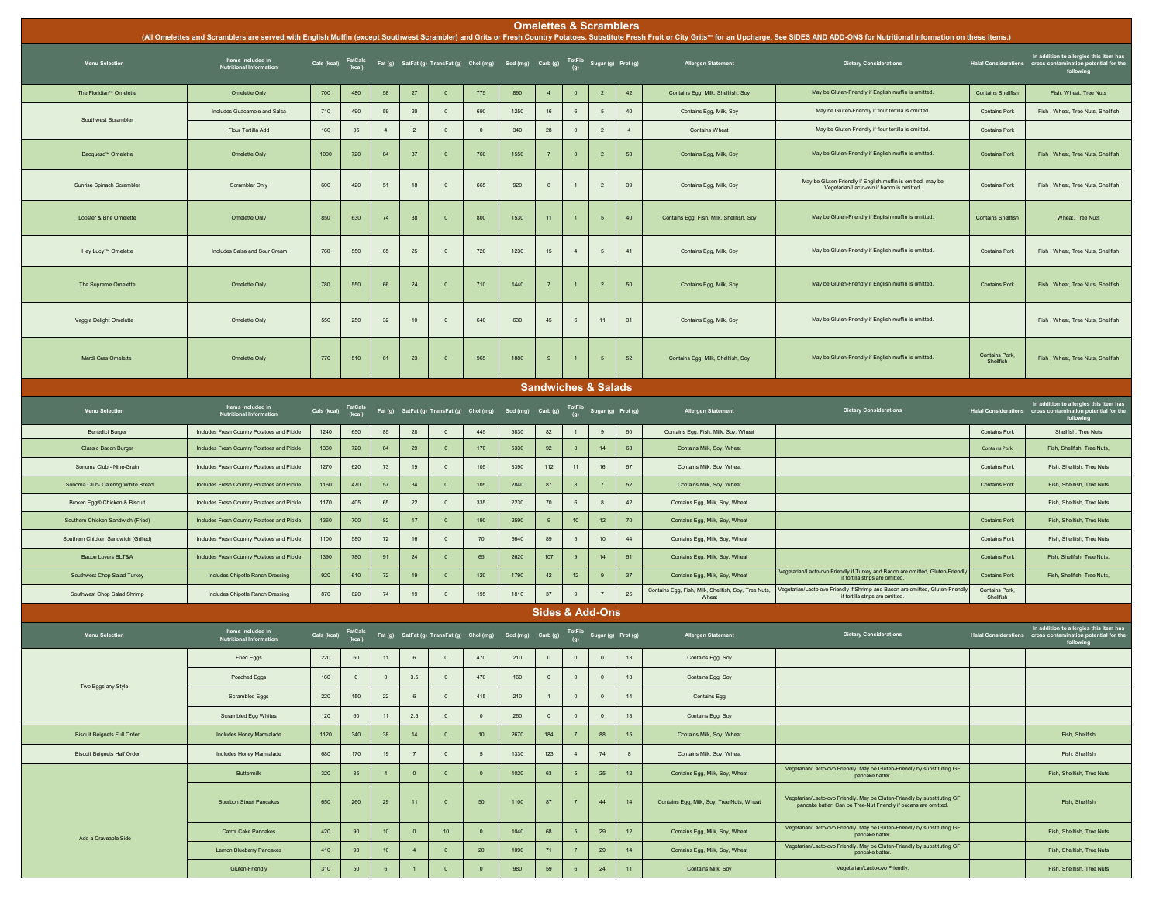|                                     |                                                     |             |                   |                 |                   |                                                                                                           |                 |      |                | <b>Omelettes &amp; Scramblers</b> |                           |                 |                                                                                        | (All Omelettes and Scramblers are served with English Muffin (except Southwest Scrambler) and Grits or Fresh Country Potatoes. Substitute Fresh Fruit or City Grits™ for an Upcharge, See SIDES AND ADD-ONS for Nutritional In |                                        |                                                                                                                   |
|-------------------------------------|-----------------------------------------------------|-------------|-------------------|-----------------|-------------------|-----------------------------------------------------------------------------------------------------------|-----------------|------|----------------|-----------------------------------|---------------------------|-----------------|----------------------------------------------------------------------------------------|--------------------------------------------------------------------------------------------------------------------------------------------------------------------------------------------------------------------------------|----------------------------------------|-------------------------------------------------------------------------------------------------------------------|
| <b>Menu Selection</b>               | Items Included in<br>Nutritional Information        |             |                   |                 |                   | Cals (kcal) FatCals Fat (g) SatFat (g) TransFat (g) Chol (mg) Sod (mg) Carb (g) TotFib Sugar (g) Prot (g) |                 |      |                |                                   |                           |                 | Allergen Statement                                                                     | <b>Dietary Considerations</b>                                                                                                                                                                                                  |                                        | In addition to allergies this item has<br>Halal Considerations cross contamination potential for the<br>following |
| The Floridian <sup>®</sup> Omelette | Omelette Only                                       | 700         | 480               | 58              | 27                | $\overline{0}$                                                                                            | 775             | 890  | $\overline{a}$ | $\circ$                           | $\overline{2}$            | 42              | Contains Egg, Milk, Shellfish, Soy                                                     | May be Gluten-Friendly if English muffin is omitted.                                                                                                                                                                           | <b>Contains Shellfish</b>              | Fish, Wheat, Tree Nuts                                                                                            |
|                                     | Includes Guacamole and Salsa                        | 710         | 490               | 59              | $20\,$            | $\,$ 0                                                                                                    | 690             | 1250 | 16             | $6\phantom{1}6$                   | $5\phantom{.0}$           | 40              | Contains Egg, Milk, Soy                                                                | May be Gluten-Friendly if flour tortilla is omitted.                                                                                                                                                                           | Contains Pork                          | Fish, Wheat, Tree Nuts, Shellfish                                                                                 |
| Southwest Scrambler                 | Flour Tortilla Add                                  | 160         | 35                | $\overline{4}$  | $\overline{2}$    | $\mathbf 0$                                                                                               | $\overline{0}$  | 340  | ${\bf 28}$     | $\,$ 0                            | $\sqrt{2}$                | $\overline{4}$  | <b>Contains Wheat</b>                                                                  | May be Gluten-Friendly if flour tortilla is omitted.                                                                                                                                                                           | <b>Contains Pork</b>                   |                                                                                                                   |
|                                     |                                                     |             |                   |                 |                   |                                                                                                           |                 |      |                |                                   |                           |                 |                                                                                        |                                                                                                                                                                                                                                |                                        |                                                                                                                   |
| Bacquezo <sup>"</sup> Omelette      | Omelette Only                                       | 1000        | 720               | 84              | 37                | $\overline{0}$                                                                                            | 760             | 1550 | $\overline{7}$ | $\circ$                           | $\overline{2}$            | 50              | Contains Egg, Milk, Soy                                                                | May be Gluten-Friendly if English muffin is omitted.                                                                                                                                                                           | <b>Contains Pork</b>                   | Fish, Wheat, Tree Nuts, Shellfish                                                                                 |
| Sunrise Spinach Scrambler           | <b>Scrambler Only</b>                               | 600         | 420               | 51              | 18                | $\overline{0}$                                                                                            | 665             | 920  | 6              | $\mathbf{1}$                      | $\overline{2}$            | 39              | Contains Egg, Milk, Soy                                                                | May be Gluten-Friendly if English muffin is omitted, may be<br>Vegetarian/Lacto-ovo if bacon is omitted.                                                                                                                       | <b>Contains Pork</b>                   | Fish, Wheat, Tree Nuts, Shellfish                                                                                 |
| Lobster & Brie Omelette             | Omelette Only                                       | 850         | 630               | 74              | 38                | $\overline{0}$                                                                                            | 800             | 1530 | 11             |                                   | 5                         | 40              | Contains Egg, Fish, Milk, Shellfish, Soy                                               | May be Gluten-Friendly if English muffin is omitted.                                                                                                                                                                           | <b>Contains Shellfish</b>              | Wheat, Tree Nuts                                                                                                  |
| Hey Lucy! <sup>™</sup> Omelette     | Includes Salsa and Sour Cream                       | 760         | 550               | 65              | 25                | $\,$ 0                                                                                                    | 720             | 1230 | 15             | $\sqrt{4}$                        | $5\phantom{.0}$           | 41              | Contains Egg, Milk, Soy                                                                | May be Gluten-Friendly if English muffin is omitted.                                                                                                                                                                           | Contains Pork                          | Fish, Wheat, Tree Nuts, Shellfish                                                                                 |
| The Supreme Omelette                | Omelette Only                                       | 780         | 550               | 66              | 24                | $\overline{0}$                                                                                            | 710             | 1440 | $\overline{7}$ | $\overline{1}$                    | $\overline{2}$            | $50\,$          | Contains Egg, Milk, Soy                                                                | May be Gluten-Friendly if English muffin is omitted.                                                                                                                                                                           | <b>Contains Pork</b>                   | Fish, Wheat, Tree Nuts, Shellfish                                                                                 |
| Veggie Delight Omelette             | Omelette Only                                       | 550         | 250               | 32              | 10                | $\overline{\mathbf{0}}$                                                                                   | 640             | 630  | 45             | 6                                 | 11                        | 31              | Contains Egg, Milk, Soy                                                                | May be Gluten-Friendly if English muffin is omitted.                                                                                                                                                                           |                                        | Fish, Wheat, Tree Nuts, Shellfish                                                                                 |
| Mardi Gras Omelette                 | Omelette Only                                       | 770         | 510               | 61              | 23                | $\overline{\mathbf{0}}$                                                                                   | 965             | 1880 | $\bf{9}$       |                                   | $5\phantom{.0}$           | 52              | Contains Egg, Milk, Shellfish, Soy                                                     | May be Gluten-Friendly if English muffin is omitted.                                                                                                                                                                           | <b>Contains Pork.</b><br>Shellfish     | Fish, Wheat, Tree Nuts, Shellfish                                                                                 |
|                                     |                                                     |             |                   |                 |                   |                                                                                                           |                 |      |                | <b>Sandwiches &amp; Salads</b>    |                           |                 |                                                                                        |                                                                                                                                                                                                                                |                                        |                                                                                                                   |
| <b>Menu Selection</b>               | Items Included in<br><b>Nutritional Information</b> | Cals (kcal) | FatCals<br>(kcal) |                 |                   | Fat (g) SatFat (g) TransFat (g) Chol (mg) Sod (mg) Carb (g) $\overline{f}$ OtFib Sugar (g) Prot (g)       |                 |      |                |                                   |                           |                 | <b>Allergen Statement</b>                                                              | <b>Dietary Considerations</b>                                                                                                                                                                                                  | Halal Considerations cross cont        | In addition to allergies this item has<br>cross contamination potential for the<br>following                      |
| <b>Benedict Burger</b>              | Includes Fresh Country Potatoes and Pickle          | 1240        | 650               | 85              | 28                | $\overline{0}$                                                                                            | 445             | 5830 | 82             | $\mathbf{1}$                      | 9                         | 50              | Contains Egg, Fish, Milk, Soy, Wheat                                                   |                                                                                                                                                                                                                                | Contains Pork                          | Shellfish, Tree Nuts                                                                                              |
| Classic Bacon Burger                | Includes Fresh Country Potatoes and Pickle          | 1360        | 720               | 84              | 29                | $\overline{\mathbf{0}}$                                                                                   | 170             | 5330 | 92             | $\overline{\mathbf{3}}$           | 14                        | 68              | Contains Milk, Soy, Wheat                                                              |                                                                                                                                                                                                                                | Contains Pork                          | Fish, Shellfish, Tree Nuts                                                                                        |
| Sonoma Club - Nine-Grain            | Includes Fresh Country Potatoes and Pickle          | 1270        | 620               | 73              | 19                | $\,$ 0                                                                                                    | 105             | 3390 | 112            | 11                                | 16                        | $57\,$          | Contains Milk, Soy, Wheat                                                              |                                                                                                                                                                                                                                | Contains Pork                          | Fish, Shellfish, Tree Nuts                                                                                        |
| Sonoma Club- Catering White Bread   | Includes Fresh Country Potatoes and Pickle          | 1160        | 470               | 57              | 34                | $\overline{0}$                                                                                            | 105             | 2840 | 87             | $\overline{\mathbf{8}}$           | 7                         | 52              | Contains Milk, Soy, Wheat                                                              |                                                                                                                                                                                                                                | <b>Contains Pork</b>                   | Fish, Shellfish, Tree Nuts                                                                                        |
| Broken Egg® Chicken & Biscuit       | Includes Fresh Country Potatoes and Pickle          | 1170        | 405               | 65              | $22\,$            | $\circ$                                                                                                   | 335             | 2230 | $70$           | 6                                 | 8                         | 42              | Contains Egg, Milk, Soy, Wheat                                                         |                                                                                                                                                                                                                                |                                        | Fish, Shellfish, Tree Nuts                                                                                        |
| Southern Chicken Sandwich (Fried)   | Includes Fresh Country Potatoes and Pickle          | 1360        | 700               | 82              | 17                | $\overline{0}$                                                                                            | 190             | 2590 | 9              | $10$                              | 12                        | 70              | Contains Egg, Milk, Soy, Wheat                                                         |                                                                                                                                                                                                                                | <b>Contains Pork</b>                   | Fish, Shellfish, Tree Nuts                                                                                        |
| Southern Chicken Sandwich (Grilled) | Includes Fresh Country Potatoes and Pickle          | 1100        | 580               | 72              | 16                | $\,$ 0                                                                                                    | 70              | 6640 | 89             | $\overline{5}$                    | 10                        | 44              | Contains Egg, Milk, Soy, Wheat                                                         |                                                                                                                                                                                                                                | Contains Pork                          | Fish, Shellfish, Tree Nuts                                                                                        |
| Bacon Lovers BLT&A                  | Includes Fresh Country Potatoes and Pickle          | 1390        | 780               | 91              | 24                | $\,$ 0                                                                                                    | 65              | 2620 | 107            | $\overline{9}$                    | 14                        | 51              | Contains Egg, Milk, Soy, Wheat                                                         | /egetarian/Lacto-ovo Friendly if Turkey and Bacon are omitted, Gluten-Friendly                                                                                                                                                 | <b>Contains Pork</b>                   | Fish, Shellfish, Tree Nuts,                                                                                       |
| Southwest Chop Salad Turkey         | Includes Chipotle Ranch Dressing                    | 920         | 610               | 72              | 19                | $\overline{0}$                                                                                            | 120             | 1790 | $42\,$         | 12                                | $\,9$                     | 37              | Contains Egg, Milk, Soy, Wheat<br>Contains Egg, Fish, Milk, Shellfish, Soy, Tree Nuts, | if tortilla strips are omitted.<br>Vegetarian/Lacto-ovo Friendly if Shrimp and Bacon are omitted, Gluten-Friendly                                                                                                              | <b>Contains Pork</b><br>Contains Pork, | Fish, Shellfish, Tree Nuts.                                                                                       |
| Southwest Chop Salad Shrimp         | Includes Chipotle Ranch Dressing                    | 870         | 620               | 74              | 19                | $\,$ 0                                                                                                    | 195             | 1810 | 37             | 9                                 | $\overline{7}$            | 25              | Wheat                                                                                  | if tortilla strips are omitted.                                                                                                                                                                                                | Shellfish                              |                                                                                                                   |
|                                     |                                                     |             |                   |                 |                   |                                                                                                           |                 |      |                | <b>Sides &amp; Add-Ons</b>        |                           |                 |                                                                                        |                                                                                                                                                                                                                                |                                        |                                                                                                                   |
| <b>Menu Selection</b>               | Items Included in<br><b>Nutritional Information</b> | Cals (kcal) | FatCals<br>(kcal) |                 |                   | Fat (g) SatFat (g) TransFat (g) Chol (mg) Sod (mg) Carb (g)                                               |                 |      |                |                                   | TotFib Sugar (g) Prot (g) |                 | <b>Allergen Statement</b>                                                              | <b>Dietary Considerations</b>                                                                                                                                                                                                  |                                        | In addition to allergies this item has<br>Halal Considerations cross contamination potential for the<br>following |
|                                     | Fried Eggs                                          | 220         | 60                | 11              | $\,6$             | $\overline{0}$                                                                                            | 470             | 210  | $\mathbf 0$    | $\circ$                           | $\circ$                   | 13              | Contains Egg, Soy                                                                      |                                                                                                                                                                                                                                |                                        |                                                                                                                   |
| Two Eggs any Style                  | Poached Eggs                                        | $160\,$     | $\mathbb O$       | $\,$ 0 $\,$     | $3.5\,$           | $\overline{\mathbf{0}}$                                                                                   | 470             | 160  | $\,$ 0 $\,$    | $\,$ 0 $\,$                       | $\mathbf 0$               | $13\,$          | Contains Egg, Soy                                                                      |                                                                                                                                                                                                                                |                                        |                                                                                                                   |
|                                     | Scrambled Eggs                                      | 220         | 150               | 22              | 6                 | $\circ$                                                                                                   | 415             | 210  | $\overline{1}$ | $\overline{0}$                    | $\circ$                   | 14              | Contains Egg                                                                           |                                                                                                                                                                                                                                |                                        |                                                                                                                   |
|                                     | Scrambled Egg Whites                                | 120         | 60                | 11              | 2.5               | $\circ$                                                                                                   | $\circ$         | 260  | $\mathbf 0$    | $\overline{\mathbf{0}}$           | $\mathbf 0$               | $13$            | Contains Egg, Soy                                                                      |                                                                                                                                                                                                                                |                                        |                                                                                                                   |
| <b>Biscuit Beignets Full Order</b>  | Includes Honey Marmalade                            | 1120        | 340               | 38              | 14                | $\bullet$                                                                                                 | 10 <sub>1</sub> | 2670 | 184            | $\overline{7}$                    | 88                        | 15              | Contains Milk, Soy, Wheat                                                              |                                                                                                                                                                                                                                |                                        | Fish, Shellfish                                                                                                   |
| <b>Biscuit Beignets Half Order</b>  | Includes Honey Marmalade                            | 680         | 170               | 19              | $\scriptstyle{7}$ | $\circ$                                                                                                   | $5\overline{5}$ | 1330 | 123            | $\overline{4}$                    | 74                        | 8               | Contains Milk, Soy, Wheat                                                              |                                                                                                                                                                                                                                |                                        | Fish, Shellfish                                                                                                   |
|                                     | <b>Buttermill</b>                                   | 320         | 35                | $\overline{4}$  | $\mathbf 0$       | $\,$ 0                                                                                                    | $\mathbf{0}$    | 1020 | 63             | 5                                 | 25                        | 12 <sub>2</sub> | Contains Egg, Milk, Soy, Wheat                                                         | Vegetarian/Lacto-ovo Friendly. May be Gluten-Friendly by substituting GF<br>pancake batter.                                                                                                                                    |                                        | Fish, Shellfish, Tree Nuts                                                                                        |
|                                     | <b>Bourbon Street Pancakes</b>                      | 650         | 260               | 29              | 11                | $\overline{0}$                                                                                            | 50              | 1100 | 87             | $\overline{7}$                    | 44                        | 14              | Contains Egg, Milk, Soy, Tree Nuts, Wheat                                              | Vegetarian/Lacto-ovo Friendly. May be Gluten-Friendly by substituting GF<br>pancake batter. Can be Tree-Nut Friendly if pecans are omitted.                                                                                    |                                        | Fish, Shellfish                                                                                                   |
| Add a Craveable Side                | Carrot Cake Pancakes                                | 420         | 90                | 10 <sub>1</sub> | $\,$ 0            | 10 <sub>1</sub>                                                                                           | $\bullet$       | 1040 | 68             | 5                                 | 29                        | 12              | Contains Egg, Milk, Soy, Wheat                                                         | Vegetarian/Lacto-ovo Friendly. May be Gluten-Friendly by substituting GF<br>pancake batter.                                                                                                                                    |                                        | Fish, Shellfish, Tree Nuts                                                                                        |
|                                     | Lemon Blueberry Pancakes                            | 410         | 90 <sub>o</sub>   | 10 <sub>1</sub> | $\sim$            | $\bullet$                                                                                                 | 20              | 1090 | 71             | $\overline{7}$                    | 29                        | 14              | Contains Egg, Milk, Soy, Wheat                                                         | Vegetarian/Lacto-ovo Friendly. May be Gluten-Friendly by substituting GF<br>pancake batter.                                                                                                                                    |                                        | Fish, Shellfish, Tree Nuts                                                                                        |
|                                     | Gluten-Friendly                                     | 310         | 50                | $6\phantom{.}6$ | $\mathbf{1}$      | $\overline{0}$                                                                                            | $\overline{0}$  | 980  | 59             | 6                                 | 24                        | 11              | Contains Milk, Soy                                                                     | Vegetarian/Lacto-ovo Friendly.                                                                                                                                                                                                 |                                        | Fish, Shellfish, Tree Nuts                                                                                        |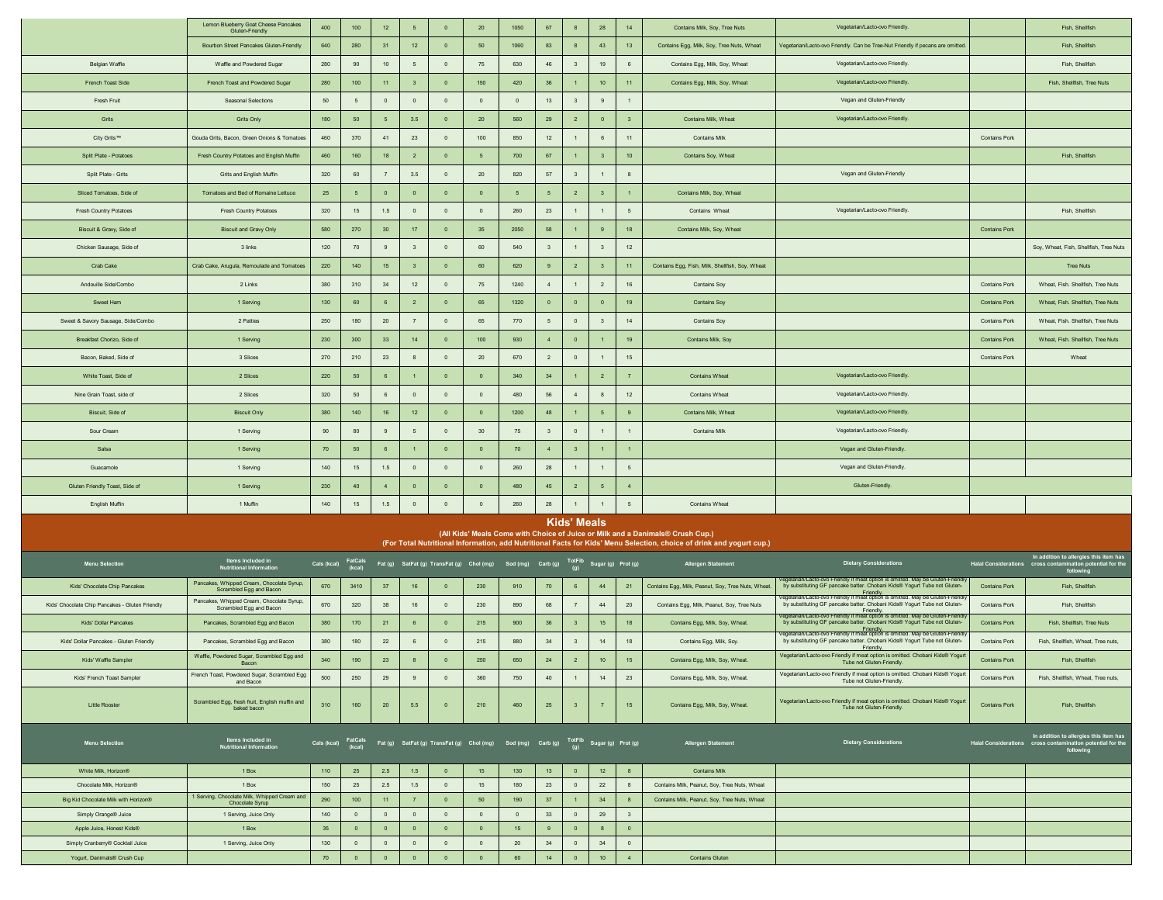|                                                               | Lemon Blueberry Goat Cheese Pancakes<br>Gluten-Friendly              | 400                           | $100\,$                       | 12 <sub>2</sub>                  | $5\overline{5}$             | $\overline{0}$              | 20                                                                                    | 1050           | 67                      | 8                                         | 28                      | 14                      | Contains Milk, Soy, Tree Nuts                                                                                                                                                                          | Vegetarian/Lacto-ovo Friendly.                                                                                                                                                                                                                                         |                      | Fish, Shellfish                                                                                      |
|---------------------------------------------------------------|----------------------------------------------------------------------|-------------------------------|-------------------------------|----------------------------------|-----------------------------|-----------------------------|---------------------------------------------------------------------------------------|----------------|-------------------------|-------------------------------------------|-------------------------|-------------------------|--------------------------------------------------------------------------------------------------------------------------------------------------------------------------------------------------------|------------------------------------------------------------------------------------------------------------------------------------------------------------------------------------------------------------------------------------------------------------------------|----------------------|------------------------------------------------------------------------------------------------------|
|                                                               | Bourbon Street Pancakes Gluten-Friendly                              | 640                           | 280                           | 31                               | 12                          | $\overline{0}$              | 50                                                                                    | 1060           | 83                      | 8                                         | 43                      | 13                      | Contains Egg, Milk, Soy, Tree Nuts, Wheat                                                                                                                                                              | Vegetarian/Lacto-ovo Friendly. Can be Tree-Nut Friendly if pecans are omitted.                                                                                                                                                                                         |                      | Fish, Shellfish                                                                                      |
| Belgian Waffle                                                | Waffle and Powdered Sugar                                            | 280                           | 90                            | 10 <sub>1</sub>                  | $\sqrt{5}$                  | $\mathbf 0$                 | $75\,$                                                                                | 630            | 46                      | $\overline{\mathbf{3}}$                   | 19                      | $\,6\,$                 | Contains Egg, Milk, Soy, Wheat                                                                                                                                                                         | Vegetarian/Lacto-ovo Friendly.                                                                                                                                                                                                                                         |                      | Fish, Shellfish                                                                                      |
| French Toast Side                                             | French Toast and Powdered Sugar                                      | 280                           | $100\,$                       | 11                               | $\overline{3}$              | $\overline{0}$              | 150                                                                                   | 420            | 36                      | $\overline{1}$                            | $10$                    | 11                      | Contains Egg, Milk, Soy, Wheat                                                                                                                                                                         | Vegetarian/Lacto-ovo Friendly.                                                                                                                                                                                                                                         |                      | Fish, Shellfish, Tree Nuts                                                                           |
| Fresh Fruit                                                   | Seasonal Selections                                                  | 50                            | 5                             | $\circ$                          | $\overline{0}$              | $\overline{0}$              | $\overline{0}$                                                                        | $\circ$        | $13$                    | $\overline{\mathbf{3}}$                   | 9                       | $\overline{1}$          |                                                                                                                                                                                                        | Vegan and Gluten-Friendly                                                                                                                                                                                                                                              |                      |                                                                                                      |
| Grits                                                         | <b>Grits Only</b>                                                    | 180                           | 50                            | 5                                | $3.5\,$                     | $\overline{0}$              | 20                                                                                    | 560            | 29                      | $\overline{2}$                            | $\overline{\mathbf{0}}$ | $\overline{\mathbf{3}}$ | Contains Milk. Wheat                                                                                                                                                                                   | Vegetarian/Lacto-ovo Friendly                                                                                                                                                                                                                                          |                      |                                                                                                      |
| City Grits™                                                   | Gouda Grits, Bacon, Green Onions & Tomatoes                          | 460                           | 370                           | 41                               | 23                          | $\mathbf 0$                 | 100                                                                                   | 850            | $12$                    | $\overline{1}$                            | $\mathbf 6$             | 11                      | <b>Contains Milk</b>                                                                                                                                                                                   |                                                                                                                                                                                                                                                                        | <b>Contains Pork</b> |                                                                                                      |
| Split Plate - Potatoes                                        | Fresh Country Potatoes and English Muffin                            | 460                           | 160                           | 18                               | $\overline{2}$              | $\overline{0}$              | 5                                                                                     | 700            | 67                      | $\overline{1}$                            | $\overline{\mathbf{3}}$ | 10 <sub>1</sub>         | Contains Soy, Wheat                                                                                                                                                                                    |                                                                                                                                                                                                                                                                        |                      | Fish, Shellfish                                                                                      |
|                                                               |                                                                      | 320                           |                               |                                  |                             | $\overline{0}$              |                                                                                       | 820            | $57\,$                  |                                           | $\mathbf{1}$            |                         |                                                                                                                                                                                                        | Vegan and Gluten-Friendly                                                                                                                                                                                                                                              |                      |                                                                                                      |
| Split Plate - Grits                                           | Grits and English Muffin                                             |                               | 60                            | $\overline{7}$                   | $3.5\,$                     |                             | 20                                                                                    |                |                         | $\overline{\mathbf{3}}$                   |                         | 8                       |                                                                                                                                                                                                        |                                                                                                                                                                                                                                                                        |                      |                                                                                                      |
| Sliced Tomatoes, Side of                                      | Tomatoes and Bed of Romaine Lettuce                                  | 25                            | 5                             | $\circ$                          | $\mathbf 0$                 | $\overline{0}$              | $\overline{0}$                                                                        | 5              | $5\overline{5}$         | $\overline{2}$                            | $\overline{\mathbf{3}}$ |                         | Contains Milk, Soy, Wheat                                                                                                                                                                              |                                                                                                                                                                                                                                                                        |                      |                                                                                                      |
| <b>Fresh Country Potatoes</b>                                 | <b>Fresh Country Potatoes</b>                                        | 320                           | 15                            | 1.5                              | $\overline{0}$              | $\mathbf 0$                 | $\circ$                                                                               | 260            | $23\,$                  | $\overline{1}$                            | $\mathbf{1}$            | $5\phantom{1}$          | Contains Wheat                                                                                                                                                                                         | Vegetarian/Lacto-ovo Friendly.                                                                                                                                                                                                                                         |                      | Fish, Shellfish                                                                                      |
| Biscuit & Gravy, Side of                                      | <b>Biscuit and Gravy Only</b>                                        | 580                           | 270                           | 30                               | 17                          | $\overline{0}$              | 35                                                                                    | 2050           | 58                      | $\overline{1}$                            | 9                       | 18                      | Contains Milk, Soy, Wheat                                                                                                                                                                              |                                                                                                                                                                                                                                                                        | <b>Contains Pork</b> |                                                                                                      |
| Chicken Sausage, Side of                                      | 3 links                                                              | 120                           | 70                            | $\overline{9}$                   | $\overline{\mathbf{3}}$     | $\mathbf 0$                 | 60                                                                                    | 540            | $\overline{\mathbf{3}}$ | $\overline{1}$                            | $\overline{\mathbf{3}}$ | 12                      |                                                                                                                                                                                                        |                                                                                                                                                                                                                                                                        |                      | Soy, Wheat, Fish, Shellfish, Tree Nuts                                                               |
| Crab Cake                                                     | Crab Cake, Arugula, Remoulade and Tomatoes                           | 220                           | 140                           | 15 <sub>15</sub>                 | $\overline{\mathbf{3}}$     | $\overline{0}$              | 60                                                                                    | 620            | 9                       | $\overline{2}$                            | $\overline{\mathbf{3}}$ | 11                      | Contains Egg, Fish, Milk, Shellfish, Soy, Wheat                                                                                                                                                        |                                                                                                                                                                                                                                                                        |                      | <b>Tree Nuts</b>                                                                                     |
| Andouille Side/Combo                                          | 2 Links                                                              | 380                           | 310                           | 34                               | 12                          | $\mathbf 0$                 | 75                                                                                    | 1240           | $\overline{4}$          | $\overline{1}$                            | $\overline{2}$          | 16                      | <b>Contains Soy</b>                                                                                                                                                                                    |                                                                                                                                                                                                                                                                        | <b>Contains Pork</b> | Wheat, Fish, Shellfish, Tree Nuts                                                                    |
| Sweet Ham                                                     | 1 Serving                                                            | 130                           | 60                            | $\mathbf 6$                      | $\overline{2}$              | $\overline{\mathbf{0}}$     | 65                                                                                    | 1320           | $\overline{\mathbf{0}}$ | $\overline{0}$                            | $\mathbf 0$             | 19                      | <b>Contains Soy</b>                                                                                                                                                                                    |                                                                                                                                                                                                                                                                        | <b>Contains Pork</b> | Wheat, Fish. Shellfish, Tree Nuts                                                                    |
| Sweet & Savory Sausage, Side/Combo                            | 2 Patties                                                            | 250                           | 180                           | $20\,$                           | $\overline{7}$              | $\mathbf 0$                 | 65                                                                                    | 770            | 5                       | $\overline{0}$                            | $\overline{\mathbf{3}}$ | 14                      | <b>Contains Soy</b>                                                                                                                                                                                    |                                                                                                                                                                                                                                                                        | Contains Pork        | Wheat, Fish. Shellfish, Tree Nuts                                                                    |
| Breakfast Chorizo, Side of                                    | 1 Serving                                                            | 230                           | 300                           | 33                               | 14                          | $\overline{\mathbf{0}}$     | 100                                                                                   | 930            | $\overline{4}$          | $\,$ 0 $\,$                               | $\mathbf{1}$            | 19                      | Contains Milk, Soy                                                                                                                                                                                     |                                                                                                                                                                                                                                                                        | <b>Contains Pork</b> | Wheat, Fish. Shellfish, Tree Nuts                                                                    |
| Bacon, Baked, Side of                                         | 3 Slices                                                             | 270                           | 210                           | 23                               | 8                           | $\mathbf 0$                 | $20\,$                                                                                | 670            | $\overline{2}$          | $\overline{0}$                            | $\mathbf{1}$            | 15                      |                                                                                                                                                                                                        |                                                                                                                                                                                                                                                                        | <b>Contains Pork</b> | Wheat                                                                                                |
| White Toast, Side of                                          | 2 Slices                                                             | 220                           | $50\,$                        | $\,6\,$                          | $\overline{1}$              | $\mathbf 0$                 | $\overline{0}$                                                                        | 340            | 34                      | $\overline{1}$                            | $\overline{2}$          | $\overline{7}$          | <b>Contains Wheat</b>                                                                                                                                                                                  | Vegetarian/Lacto-ovo Friendly.                                                                                                                                                                                                                                         |                      |                                                                                                      |
| Nine Grain Toast side of                                      | 2 Slices                                                             | 320                           | 50                            | $^{\rm 6}$                       | $\mathbf 0$                 | $\overline{0}$              | $\overline{0}$                                                                        | 480            | 56                      | $\sim$                                    | $\bf{8}$                | 12                      | <b>Contains Wheat</b>                                                                                                                                                                                  | Vegetarian/Lacto-ovo Friendly.                                                                                                                                                                                                                                         |                      |                                                                                                      |
| Biscuit, Side of                                              | <b>Biscuit Only</b>                                                  | 380                           | 140                           | 16                               | 12                          | $\overline{0}$              | $\overline{0}$                                                                        | 1200           | 48                      | $\overline{1}$                            | $5\phantom{.0}$         | 9                       | Contains Milk, Wheat                                                                                                                                                                                   | Vegetarian/Lacto-ovo Friendly.                                                                                                                                                                                                                                         |                      |                                                                                                      |
| Sour Cream                                                    | 1 Serving                                                            | 90                            | 80                            | $\overline{9}$                   | $\sqrt{5}$                  | $\mathbf 0$                 | $30\,$                                                                                | 75             | $\overline{\mathbf{3}}$ | $\circ$                                   | $\mathbf{1}$            | $\mathbf{1}$            | <b>Contains Milk</b>                                                                                                                                                                                   | Vegetarian/Lacto-ovo Friendly.                                                                                                                                                                                                                                         |                      |                                                                                                      |
| Salsa                                                         | 1 Serving                                                            | 70                            | 50                            | 6                                | $\overline{1}$              | $\overline{0}$              | $\overline{0}$                                                                        | 70             | $\overline{4}$          | $\overline{\mathbf{3}}$                   | $\mathbf{1}$            | $\overline{1}$          |                                                                                                                                                                                                        | Vegan and Gluten-Friendly.                                                                                                                                                                                                                                             |                      |                                                                                                      |
| Guacamole                                                     | 1 Serving                                                            | 140                           | 15                            | 1.5                              | $\mathbf 0$                 | $\mathbf 0$                 | $\circ$                                                                               | 260            | ${\bf 28}$              | $\overline{1}$                            | $\mathbf{1}$            | $\sqrt{5}$              |                                                                                                                                                                                                        | Vegan and Gluten-Friendly.                                                                                                                                                                                                                                             |                      |                                                                                                      |
| Gluten Friendly Toast, Side of                                | 1 Serving                                                            | 230                           | 40                            | $\sqrt{4}$                       | $\mathbf 0$                 | $\mathbf 0$                 | $\overline{0}$                                                                        | 480            | 45                      | $\overline{2}$                            | $5\phantom{.0}$         | $\sqrt{4}$              |                                                                                                                                                                                                        | Gluten-Friendly.                                                                                                                                                                                                                                                       |                      |                                                                                                      |
| English Muffin                                                | 1 Muffin                                                             | 140                           | 15                            | 1.5                              | $\mathbb O$                 | $\circ$                     | $\circ$                                                                               | 260            | 28                      | $\overline{1}$                            | $\mathbf{1}$            | $5\overline{5}$         | Contains Wheat                                                                                                                                                                                         |                                                                                                                                                                                                                                                                        |                      |                                                                                                      |
|                                                               |                                                                      |                               |                               |                                  |                             |                             |                                                                                       |                |                         | <b>Kids' Meals</b>                        |                         |                         |                                                                                                                                                                                                        |                                                                                                                                                                                                                                                                        |                      |                                                                                                      |
|                                                               |                                                                      |                               |                               |                                  |                             |                             |                                                                                       |                |                         |                                           |                         |                         | (All Kids' Meals Come with Choice of Juice or Milk and a Danimals® Crush Cup.)<br>(For Total Nutritional Information, add Nutritional Facts for Kids' Menu Selection, choice of drink and yogurt cup.) |                                                                                                                                                                                                                                                                        |                      |                                                                                                      |
|                                                               |                                                                      |                               |                               |                                  |                             |                             |                                                                                       |                |                         |                                           |                         |                         |                                                                                                                                                                                                        |                                                                                                                                                                                                                                                                        |                      | In addition to allergies this item has<br>Halal Considerations cross contamination potential for the |
| <b>Menu Selection</b>                                         | Items Included in<br>Nutritional Information                         | Cals (kcal) FatCals<br>(kcal) |                               |                                  |                             |                             | Fat (g) SatFat (g) TransFat (g) Chol (mg) Sod (mg) Carb (g) TotFib Sugar (g) Prot (g) |                |                         |                                           |                         |                         | <b>Allergen Statement</b>                                                                                                                                                                              | <b>Dietary Considerations</b>                                                                                                                                                                                                                                          |                      | following                                                                                            |
| Kids' Chocolate Chip Pancakes                                 | Pancakes, Whipped Cream, Chocolate Syrup,<br>Scrambled Egg and Bacon | 670                           | 3410                          | 37                               | 16                          | $\overline{0}$              | 230                                                                                   | 910            | 70                      | $6\overline{6}$                           | 44                      | 21                      | Contains Egg, Milk, Peanut, Soy, Tree Nuts, Wheat                                                                                                                                                      | /egetarian/Lacto-ovo Friendly if meat option is omitted. May be Gluten-Friendly<br>by substituting GF pancake batter. Chobani Kids® Yogurt Tube not Gluten-<br>Friendly.<br>  Friendly fogetarian/Lacto-ovo Friendly if meat option is omitted. May be Gluten-Friendly | <b>Contains Pork</b> | Fish, Shellfish                                                                                      |
| Kids' Chocolate Chip Pancakes - Gluten Friendly               | Pancakes, Whipped Cream, Chocolate Syrup,<br>Scrambled Egg and Bacon | 670                           | 320                           | 38                               | 16                          | $\mathbf 0$                 | 230                                                                                   | 890            | 68                      | 7                                         | 44                      | 20                      | Contains Egg, Milk, Peanut, Soy, Tree Nuts                                                                                                                                                             | by substituting GF pancake batter. Chobani Kids® Yogurt Tube not Gluten-<br>Friendly.<br>//egetarian/Lacto-ovo Friendly if meat option is omitted. May be Gluten-Friend                                                                                                | <b>Contains Pork</b> | Fish, Shellfish                                                                                      |
| Kids' Dollar Pancakes                                         | Pancakes, Scrambled Egg and Bacon                                    | 380                           | 170                           | 21                               | 6                           | $\overline{0}$              | 215                                                                                   | 900            | 36                      | $\overline{\mathbf{3}}$                   | 15                      | 18                      | Contains Egg, Milk, Soy, Wheat.                                                                                                                                                                        | by substituting GF pancake batter. Chobani Kids® Yogurt Tube not Gluten-                                                                                                                                                                                               | <b>Contains Pork</b> | Fish, Shellfish, Tree Nuts                                                                           |
| Kids' Dollar Pancakes - Gluten Friendly                       | Pancakes, Scrambled Egg and Bacon                                    | 380                           | 180                           | 22                               | 6                           | $\overline{0}$              | 215                                                                                   | 880            | 34                      | $\overline{\mathbf{3}}$                   | 14                      | 18                      | Contains Egg, Milk, Soy.                                                                                                                                                                               | Friendly.<br>Vegetarian/Lacto-ovo Friendly if meat option is omitted. May be Gluten-Friendly<br>by substituting GF pancake batter. Chobani Kids® Yogurt Tube not Gluten-<br>Friendly.                                                                                  | <b>Contains Pork</b> | Fish, Shellfish, Wheat, Tree nuts,                                                                   |
| Kids' Waffle Sampler                                          | Waffle, Powdered Sugar, Scrambled Egg and<br>Bacon                   | 340                           | 190                           | 23                               | $\boldsymbol{8}$            | $\overline{0}$              | 250                                                                                   | 650            | 24                      | $\overline{2}$                            | 10                      | 15                      | Contains Egg, Milk, Soy, Wheat.                                                                                                                                                                        | Vegetarian/Lacto-ovo Friendly if meat option is omitted. Chobani Kids® Yogurt<br>Tube not Gluten-Friendly.                                                                                                                                                             | <b>Contains Pork</b> | Fish, Shellfish                                                                                      |
| Kids' French Toast Sampler                                    | French Toast, Pow<br>vdered Sugar, Scrambled Egg<br>and Bacon        | 500                           | 250                           | 29                               | 9                           | $\mathbf 0$                 | 360                                                                                   | 750            | $40\,$                  | $\mathbf{1}$                              | 14                      | 23                      | Contains Egg, Milk, Soy, Wheat.                                                                                                                                                                        | Vegetarian/Lacto-ovo Friendly if meat option is omitted. Chobani Kids® Yogurt<br>Tube not Gluten-Friendly.                                                                                                                                                             | Contains Pork        | Fish, Shellfish, Wheat, Tree nuts,                                                                   |
|                                                               |                                                                      |                               |                               |                                  |                             |                             |                                                                                       |                |                         |                                           |                         |                         |                                                                                                                                                                                                        | Vegetarian/Lacto-ovo Friendly if meat option is omitted. Chobani Kids® Yogurt                                                                                                                                                                                          |                      |                                                                                                      |
| Little Rooster                                                | Scrambled Egg, fresh fruit, English muffin and<br>baked bacon        | 310                           | 160                           | 20                               | 5.5                         | $\mathbf{0}$                | 210                                                                                   | 460            | 25                      | 3 <sup>2</sup>                            | 7                       | 15                      | Contains Egg, Milk, Soy, Wheat.                                                                                                                                                                        | Tube not Gluten-Friendly.                                                                                                                                                                                                                                              | <b>Contains Pork</b> | Fish, Shellfish                                                                                      |
| <b>Menu Selection</b>                                         | Items Included in                                                    |                               | Cals (kcal) FatCals<br>(kcal) |                                  |                             |                             | Fat (g) SatFat (g) TransFat (g) Chol (mg) Sod (mg) Carb (g) TotFib Sugar (g) Prot (g) |                |                         |                                           |                         |                         | <b>Allergen Statement</b>                                                                                                                                                                              | <b>Dietary Considerations</b>                                                                                                                                                                                                                                          |                      | In addition to allergies this item has                                                               |
|                                                               | <b>Nutritional Information</b>                                       |                               |                               |                                  |                             |                             |                                                                                       |                |                         |                                           |                         |                         |                                                                                                                                                                                                        |                                                                                                                                                                                                                                                                        |                      | Halal Considerations cross contamination potential for the<br>following                              |
| White Milk, Horizon®                                          | 1 Box                                                                | 110                           | 25                            | 2.5                              | 1.5                         | $\overline{0}$              | 15                                                                                    | 130            | 13                      | $\overline{0}$                            | 12                      | 8                       | <b>Contains Milk</b>                                                                                                                                                                                   |                                                                                                                                                                                                                                                                        |                      |                                                                                                      |
| Chocolate Milk, Horizon®                                      | 1 Box                                                                | 150                           | 25                            | 2.5                              | 1.5                         | $\circ$                     | 15                                                                                    | 180            | 23                      | $\overline{0}$                            | 22                      | 8                       | Contains Milk, Peanut, Soy, Tree Nuts, Wheat                                                                                                                                                           |                                                                                                                                                                                                                                                                        |                      |                                                                                                      |
| Big Kid Chocolate Milk with Horizon®                          | 1 Serving, Chocolate Milk, Whipped Cream and<br>Chocolate Syrup      | 290                           | 100                           | $-11$                            | 7 <sup>7</sup>              | $\bullet$                   | 50 <sub>o</sub>                                                                       | 190            | 37                      | $-1$                                      | 34                      | 8                       | Contains Milk, Peanut, Soy, Tree Nuts, Wheat                                                                                                                                                           |                                                                                                                                                                                                                                                                        |                      |                                                                                                      |
| Simply Orange <sup>®</sup> Juice                              | 1 Serving, Juice Only                                                | 140                           | $\bullet$                     | $\overline{0}$                   | $\overline{0}$              | $\overline{0}$              | $\overline{0}$                                                                        | $\overline{0}$ | 33<br>9                 | $\overline{0}$                            | 29                      | 3<br>$\overline{0}$     |                                                                                                                                                                                                        |                                                                                                                                                                                                                                                                        |                      |                                                                                                      |
| Apple Juice, Honest Kids®<br>Simply Cranberry® Cocktail Juice | 1 Box<br>1 Serving, Juice Only                                       | 35<br>130                     | $\bullet$<br>$\circ$          | $\overline{0}$<br>$\overline{0}$ | $\bullet$<br>$\overline{0}$ | $\bullet$<br>$\overline{0}$ | $\overline{0}$<br>$\overline{0}$                                                      | 15<br>20       | 34                      | $\overline{\mathbf{0}}$<br>$\overline{0}$ | 8<br>34                 | $\overline{0}$          |                                                                                                                                                                                                        |                                                                                                                                                                                                                                                                        |                      |                                                                                                      |
| Yogurt, Danimals® Crush Cup                                   |                                                                      | 70                            | $\overline{0}$                | $\mathbf 0$                      | $\mathbf 0$                 | $\overline{0}$              | $\overline{0}$                                                                        | 60             | 14                      | $\,$ 0 $\,$                               | 10 <sub>1</sub>         | $\overline{4}$          | <b>Contains Gluten</b>                                                                                                                                                                                 |                                                                                                                                                                                                                                                                        |                      |                                                                                                      |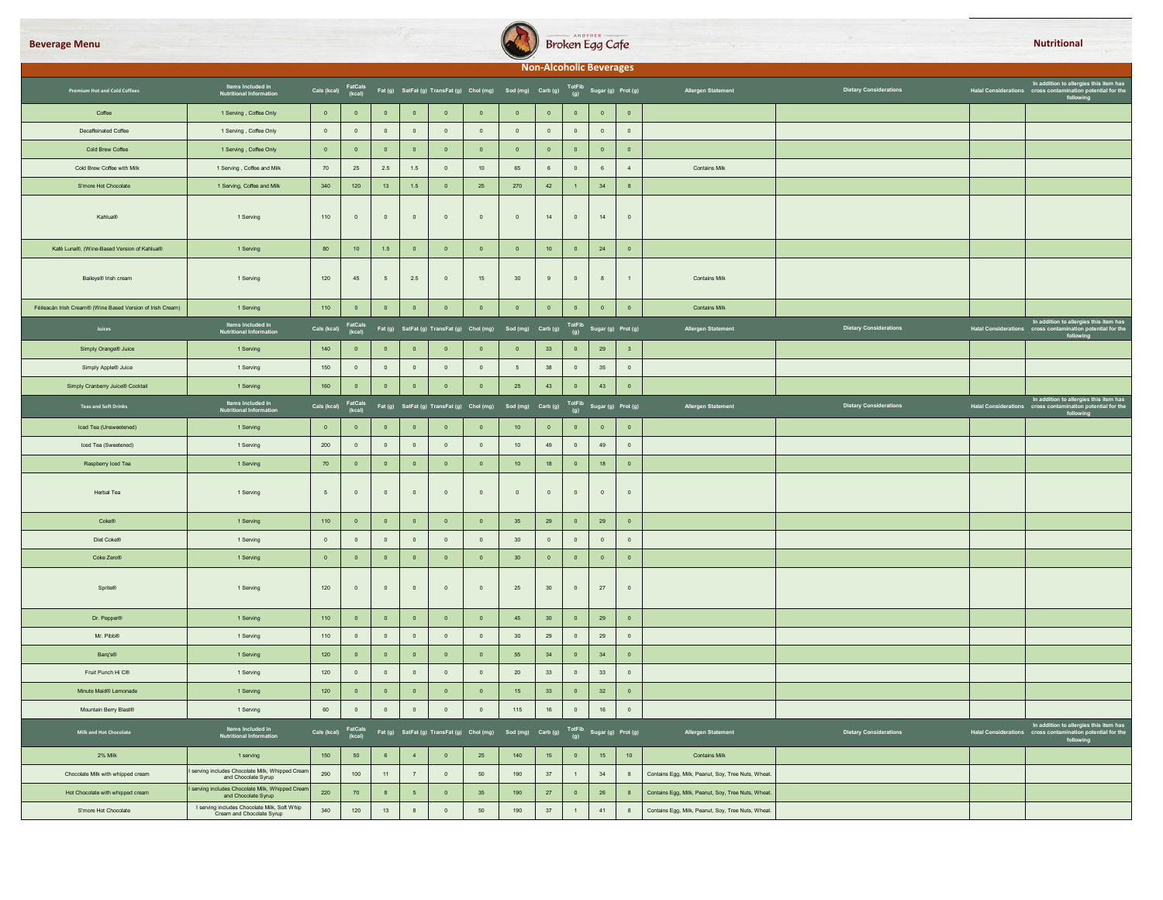



|                                                            |                                                                           |                               |                   |                  |                         |                         |                                                                                                           |                                                                  |                | <b>Non-Alcoholic Beverages</b> |                         |                         |                                                    |                               |                                                                                                                                     |
|------------------------------------------------------------|---------------------------------------------------------------------------|-------------------------------|-------------------|------------------|-------------------------|-------------------------|-----------------------------------------------------------------------------------------------------------|------------------------------------------------------------------|----------------|--------------------------------|-------------------------|-------------------------|----------------------------------------------------|-------------------------------|-------------------------------------------------------------------------------------------------------------------------------------|
| Premium Hot and Cold Coffees                               | Items Included in<br>Nutritional Information                              |                               |                   |                  |                         |                         | Cals (kcal) FatCals Fat (g) SatFat (g) TransFat (g) Chol (mg) Sod (mg) Carb (g) TotFib Sugar (g) Prot (g) |                                                                  |                |                                |                         |                         | Allergen Statement                                 | <b>Dietary Considerations</b> | In addition to allergies this item has<br>Halal Considerations cross contamination potential for the<br>following                   |
| Coffee                                                     | 1 Serving, Coffee Only                                                    | $\bullet$                     | $\mathbf 0$       | $\,$ 0 $\,$      | $\mathbf 0$             | $\mathbf 0$             | $\mathbf 0$                                                                                               | $\,$ 0 $\,$                                                      | $\,$ 0 $\,$    | $\,$ 0                         | $\mathbf 0$             | $\mathbf 0$             |                                                    |                               |                                                                                                                                     |
| Decaffeinated Coffee                                       | 1 Serving, Coffee Only                                                    | $\overline{\mathbf{0}}$       | $\,$ 0 $\,$       | $\mathbf 0$      | $\,$ 0 $\,$             | $\mathbf 0$             | $\,$ 0 $\,$                                                                                               | $\overline{0}$                                                   | $\,$ 0 $\,$    | $\,$ 0 $\,$                    | $\,$ 0 $\,$             | $\,$ 0 $\,$             |                                                    |                               |                                                                                                                                     |
| Cold Brew Coffee                                           | 1 Serving, Coffee Only                                                    | $\overline{0}$                | $\overline{0}$    | $\overline{0}$   | $\overline{0}$          | $\bullet$               | $\overline{0}$                                                                                            | $\bullet$                                                        | $\overline{0}$ | $\bullet$                      | $\overline{0}$          | $\overline{0}$          |                                                    |                               |                                                                                                                                     |
| Cold Brew Coffee with Milk                                 | 1 Serving, Coffee and Milk                                                | 70                            | 25                | 2.5              | 1.5                     | $\overline{0}$          | 10                                                                                                        | 65                                                               | 6              | $\overline{0}$                 | $6\phantom{.0}$         | $\overline{4}$          | <b>Contains Milk</b>                               |                               |                                                                                                                                     |
| S'more Hot Chocolate                                       | 1 Serving, Coffee and Milk                                                | 340                           | 120               | 13               | 1.5                     | $\bullet$               | 25                                                                                                        | 270                                                              | 42             | $\sim$                         | 34                      | $\mathbf{8}$            |                                                    |                               |                                                                                                                                     |
| Kahlua®                                                    | 1 Serving                                                                 | $110$                         | $\,$ 0 $\,$       | $\,$ 0 $\,$      | $\mathbb O$             | $\mathbb O$             | $\,$ 0 $\,$                                                                                               | $\,$ 0 $\,$                                                      | 14             | $\,$ 0 $\,$                    | 14                      | $\,$ 0 $\,$             |                                                    |                               |                                                                                                                                     |
| Kafé Luna®, (Wine-Based Version of Kahlua®                 | 1 Serving                                                                 | 80                            | 10                | 1.5              | $\overline{0}$          | $\overline{0}$          | $\overline{0}$                                                                                            | $\overline{0}$                                                   | 10             | $\overline{\mathbf{0}}$        | 24                      | $\overline{\mathbf{0}}$ |                                                    |                               |                                                                                                                                     |
| Baileys® Irish cream                                       | 1 Serving                                                                 | 120                           | 45                | $5\phantom{.0}$  | 2.5                     | $\mathbf{0}$            | 15                                                                                                        | 30                                                               | $9\,$          | $\,$ 0 $\,$                    | 8                       | $\overline{1}$          | <b>Contains Milk</b>                               |                               |                                                                                                                                     |
| Féileacán Irish Cream® (Wine Based Version of Irish Cream) | 1 Serving                                                                 | 110                           | $\,$ 0 $\,$       | $\mathbf 0$      | $\,$ 0 $\,$             | $\mathbf 0$             | $\mathbf 0$                                                                                               | $\,$ 0 $\,$                                                      | $\,$ 0 $\,$    | $\,$ 0                         | $\mathbf 0$             | $\,$ 0 $\,$             | <b>Contains Milk</b>                               |                               |                                                                                                                                     |
| Juices                                                     | Items Included in<br>Nutritional Information                              | Cals (kcal)                   | FatCals<br>(kcal) |                  |                         |                         | Fat (g) SatFat (g) TransFat (g) Chol (mg) Sod (mg) Carb (g) TotFib Sugar (g) Prot (g)                     |                                                                  |                |                                |                         |                         | Allergen Statement                                 | <b>Dietary Considerations</b> | In addition to allergies this item has<br>Halal Considerations cross contamination potential for the<br>following                   |
| Simply Orange <sup>®</sup> Juice                           | 1 Serving                                                                 | 140                           | $\overline{0}$    | $\circ$          | $\overline{0}$          | $\overline{0}$          | $\overline{0}$                                                                                            | $\overline{0}$                                                   | 33             | $\overline{0}$                 | 29                      | $\overline{\mathbf{3}}$ |                                                    |                               |                                                                                                                                     |
| Simply Apple® Juice                                        | 1 Serving                                                                 | 150                           | $\overline{0}$    | $\overline{0}$   | $\circ$                 | $\overline{0}$          | $\overline{0}$                                                                                            | 5 <sup>5</sup>                                                   | 38             | $\overline{0}$                 | 35                      | $\overline{0}$          |                                                    |                               |                                                                                                                                     |
| Simply Cranberry Juice® Cocktail                           | 1 Serving                                                                 | 160                           | $\mathbf{0}^-$    | $\mathbf 0$      | $\overline{\mathbf{0}}$ | $\,$ 0 $\,$             | $\overline{\mathbf{0}}$                                                                                   | 25                                                               | 43             | $\overline{\phantom{0}}$       | 43                      | $\bullet$               |                                                    |                               |                                                                                                                                     |
| <b>Teas and Soft Drinks</b>                                | Items Included in<br>Nutritional Information                              | Cals (kcal)                   | FatCals<br>(kcal) |                  |                         |                         | Fat (g) SatFat (g) TransFat (g) Chol (mg)                                                                 | Sod (mg) Carb (g) $\frac{\text{TotFib}}{(g)}$ Sugar (g) Prot (g) |                |                                |                         |                         | Allergen Statement                                 | <b>Dietary Considerations</b> | In addition to allergies this item has<br>Halal Considerations cross contamination potential for the<br>following for the following |
| Iced Tea (Unsweetened)                                     | 1 Serving                                                                 | $\bullet$                     | $\mathbf 0$       | $\overline{0}$   | $\overline{\mathbf{0}}$ | $\overline{0}$          | $\overline{0}$                                                                                            | 10 <sub>1</sub>                                                  | $\overline{0}$ | $\overline{\mathbf{0}}$        | $\overline{0}$          | $\overline{0}$          |                                                    |                               |                                                                                                                                     |
| Iced Tea (Sweetened)                                       | 1 Serving                                                                 | 200                           | $\circ$           | $\circ$          | $\circ$                 | $\circ$                 | $\circ$                                                                                                   | 10                                                               | 49             | $\overline{0}$                 | 49                      | $\circ$                 |                                                    |                               |                                                                                                                                     |
| Raspberry Iced Tea                                         | 1 Serving                                                                 | 70                            | $\mathbf 0$       | $\mathbf 0$      | $\overline{\mathbf{0}}$ | $\overline{\mathbf{0}}$ | $\overline{0}$                                                                                            | 10 <sub>1</sub>                                                  | 18             | $\overline{0}$                 | 18                      | $\overline{0}$          |                                                    |                               |                                                                                                                                     |
| Herbal Tea                                                 | 1 Serving                                                                 | $5\phantom{.0}$               | $\,$ 0 $\,$       | $\mathbf 0$      | $\,$ 0                  | $\,$ 0 $\,$             | $\,$ 0 $\,$                                                                                               | $\,$ 0 $\,$                                                      | $\,$ 0 $\,$    | $\,$ 0 $\,$                    | $\,$ 0 $\,$             | $\,$ 0 $\,$             |                                                    |                               |                                                                                                                                     |
| Coke®                                                      | 1 Serving                                                                 | 110                           | $\overline{0}$    | $\overline{0}$   | $\overline{0}$          | $\overline{0}$          | $\overline{0}$                                                                                            | 35                                                               | 29             | $\overline{\mathbf{0}}$        | 29                      | $\overline{0}$          |                                                    |                               |                                                                                                                                     |
| Diet Coke®                                                 | 1 Serving                                                                 | $\overline{0}$                | $\overline{0}$    | $\overline{0}$   | $\overline{0}$          | $\overline{0}$          | $\overline{0}$                                                                                            | 30 <sup>°</sup>                                                  | $\overline{0}$ | $\overline{0}$                 | $\overline{0}$          | $\overline{0}$          |                                                    |                               |                                                                                                                                     |
| Coke Zero®                                                 | 1 Serving                                                                 | $\overline{\mathbf{0}}$       | $\bullet$         | $\bullet$        | $\bullet$               | $\bullet$               | $\overline{\mathbf{0}}$                                                                                   | 30 <sub>o</sub>                                                  | $\bullet$      | $\bullet$                      | $\overline{\mathbf{0}}$ | $\,$ 0 $\,$             |                                                    |                               |                                                                                                                                     |
| Sprite@                                                    | 1 Serving                                                                 | 120                           | $\,$ 0 $\,$       | $\mathbf 0$      | $\mathbb O$             | $\,$ 0 $\,$             | $\,$ 0 $\,$                                                                                               | 25                                                               | $30\,$         | $\,$ 0 $\,$                    | 27                      | $\mathbf 0$             |                                                    |                               |                                                                                                                                     |
| Dr. Pepper®                                                | 1 Serving                                                                 | 110                           | $\overline{0}$    | $\overline{0}$   | $\overline{\mathbf{0}}$ | $\overline{0}$          | $\overline{0}$                                                                                            | 45                                                               | 30             | $\overline{0}$                 | 29                      | $\overline{0}$          |                                                    |                               |                                                                                                                                     |
| Mr. Pibb <sup>®</sup>                                      | 1 Serving                                                                 | 110                           | $\overline{0}$    | $\mathbf 0$      | $\overline{\mathbf{0}}$ | $\overline{\mathbf{0}}$ | $\,$ 0 $\,$                                                                                               | 30                                                               | 29             | $\overline{0}$                 | 29                      | $\mathbb O$             |                                                    |                               |                                                                                                                                     |
| Barq's®                                                    | 1 Serving                                                                 | 120                           | $\overline{0}$    | $\mathbf 0$      | $\bullet$               | $\overline{0}$          | $\overline{0}$                                                                                            | 55                                                               | 34             | $\bullet$                      | 34                      | $\overline{0}$          |                                                    |                               |                                                                                                                                     |
| Fruit Punch Hi C®                                          | 1 Serving                                                                 | 120                           | $\overline{0}$    | $\overline{0}$   | $\overline{0}$          | $\overline{0}$          | $\overline{0}$                                                                                            | 20                                                               | 33             | $\overline{0}$                 | 33                      | $\overline{0}$          |                                                    |                               |                                                                                                                                     |
| Minute Maid® Lemonade                                      | 1 Serving                                                                 | 120                           | $\overline{0}$    | $\circ$          | $\overline{0}$          | $\overline{0}$          | $\overline{0}$                                                                                            | 15                                                               | 33             | $\overline{0}$                 | 32                      | $\overline{0}$          |                                                    |                               |                                                                                                                                     |
| Mountain Berry Blast®                                      | 1 Serving                                                                 | 60                            | $\,$ 0 $\,$       | $\mathbf 0$      | $\,$ 0                  | $\,$ 0 $\,$             | $\,$ 0 $\,$                                                                                               | 115                                                              | $16\,$         | $\,$ 0                         | $16\,$                  | $\mathbb O$             |                                                    |                               |                                                                                                                                     |
| Milk and Hot Chocolate                                     | Items Included in<br>Nutritional Information                              | Cals (kcal) FatCals<br>(kcal) |                   |                  |                         |                         | Fat (g) SatFat (g) TransFat (g) Chol (mg) Sod (mg) Carb (g) TotFib Sugar (g) Prot (g)                     |                                                                  |                |                                |                         |                         | Allergen Statement                                 | <b>Dietary Considerations</b> | In addition to allergies this item has<br>Halal Considerations cross contamination potential for the<br>following                   |
| 2% Milk                                                    | 1 serving                                                                 | 150                           | $50\,$            | 6 <sup>1</sup>   | $\sim$                  | $\bullet$               | 25                                                                                                        | 140                                                              | 15             | $\overline{\mathbf{0}}$        | 15                      | 10 <sup>°</sup>         | <b>Contains Milk</b>                               |                               |                                                                                                                                     |
| Chocolate Milk with whipped cream                          | serving includes Chocolate Milk, Whipped Cream<br>and Chocolate Syrup     | 290                           | 100               | $11 -$           | $\overline{7}$          | $\overline{0}$          | 50                                                                                                        | 190                                                              | 37             | $\overline{1}$                 | 34                      | 8                       | Contains Egg, Milk, Peanut, Soy, Tree Nuts, Wheat. |                               |                                                                                                                                     |
| Hot Chocolate with whipped cream                           | serving includes Chocolate Milk, Whipped Crear<br>and Chocolate Syrup     | 220                           | 70                | $\boldsymbol{8}$ | $\sqrt{5}$              | $\mathbf 0$             | 35                                                                                                        | 190                                                              | $27\,$         | $\,$ 0 $\,$                    | ${\bf 26}$              | $\mathbf{8}$            | Contains Egg, Milk, Peanut, Soy, Tree Nuts, Wheat. |                               |                                                                                                                                     |
| S'more Hot Chocolate                                       | I serving includes Chocolate Milk, Soft Whip<br>Cream and Chocolate Syrup | $340\,$                       | $120\,$           | $13\,$           | $\,$ 8 $\,$             | $\mathbf 0$             | $50\,$                                                                                                    | $190\,$                                                          | $37\,$         | $\,1\,$                        | 41                      | 8                       | Contains Egg, Milk, Peanut, Soy, Tree Nuts, Wheat. |                               |                                                                                                                                     |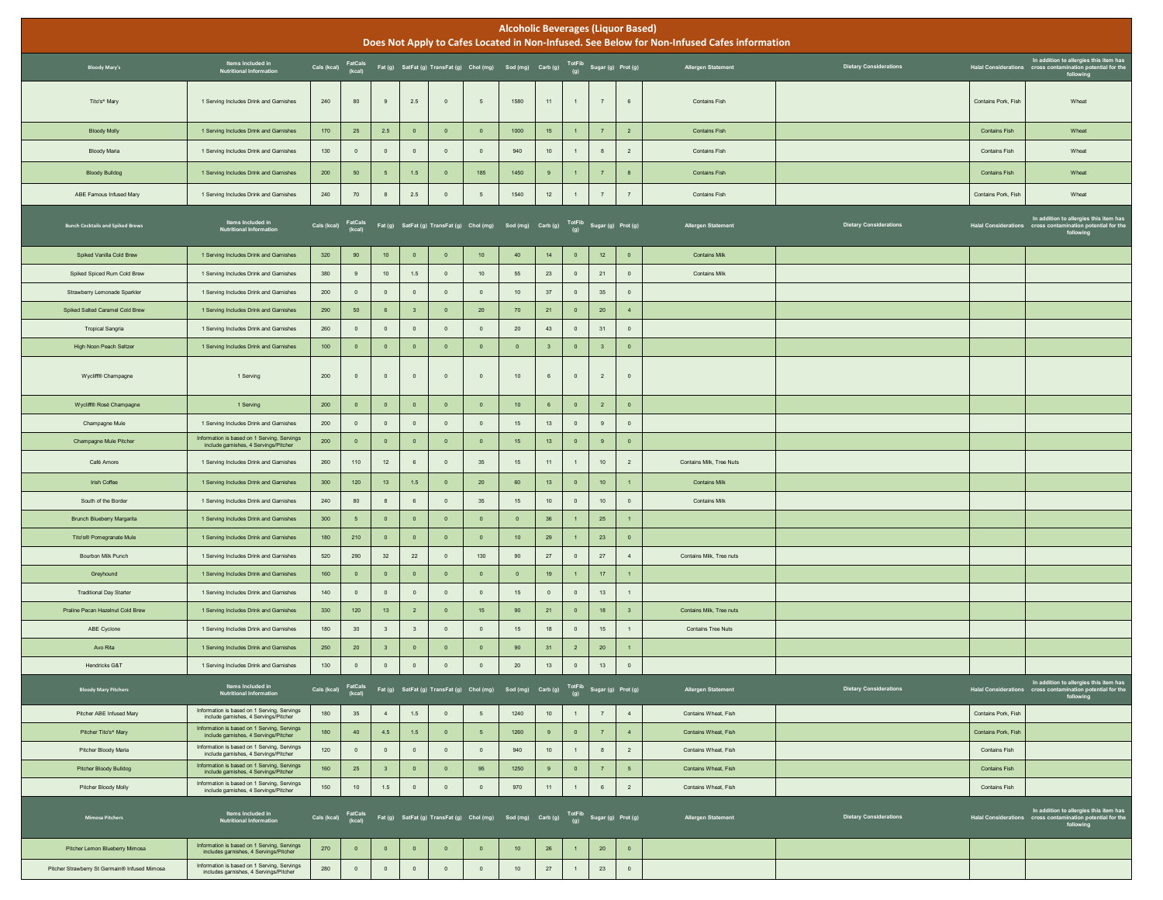|                                               |                                                                                       |                               |                |                         |                         |                |                                                                                                           | <b>Alcoholic Beverages (Liquor Based)</b> |                         |                         |                         |                         | Does Not Apply to Cafes Located in Non-Infused. See Below for Non-Infused Cafes information |                               |                      |                                                                                                                   |
|-----------------------------------------------|---------------------------------------------------------------------------------------|-------------------------------|----------------|-------------------------|-------------------------|----------------|-----------------------------------------------------------------------------------------------------------|-------------------------------------------|-------------------------|-------------------------|-------------------------|-------------------------|---------------------------------------------------------------------------------------------|-------------------------------|----------------------|-------------------------------------------------------------------------------------------------------------------|
| <b>Bloody Mary's</b>                          | Items Included in<br>Nutritional Information                                          |                               |                |                         |                         |                | Cals (kcal) FatCals Fat (g) SatFat (g) TransFat (g) Chol (mg) Sod (mg) Carb (g) TotFib Sugar (g) Prot (g) |                                           |                         |                         |                         |                         | <b>Allergen Statement</b>                                                                   | <b>Dietary Considerations</b> |                      | In addition to allergies this item has<br>Halal Considerations cross contamination potential for the<br>following |
| Tito's* Mary                                  | 1 Serving Includes Drink and Garnishes                                                | 240                           | 80             | $\,9$                   | 2.5                     | $\mathbb O$    | $5\overline{5}$                                                                                           | 1580                                      | 11                      | $\overline{1}$          | $\overline{7}$          | 6                       | Contains Fish                                                                               |                               | Contains Pork, Fish  | Wheat                                                                                                             |
| <b>Bloody Molly</b>                           | 1 Serving Includes Drink and Garnishes                                                | 170                           | 25             | $2.5\,$                 | $\overline{0}$          | $\,$ 0         | $\overline{0}$                                                                                            | 1000                                      | $15\,$                  | $\blacksquare$          | $\overline{7}$          | $\overline{2}$          | <b>Contains Fish</b>                                                                        |                               | Contains Fish        | Wheat                                                                                                             |
| <b>Bloody Maria</b>                           | 1 Serving Includes Drink and Garnishes                                                | 130                           | $\mathbb O$    | $\,$ 0 $\,$             | $\overline{0}$          | $\overline{0}$ | $\overline{0}$                                                                                            | 940                                       | 10                      | $\overline{1}$          | $\bf{8}$                | $\overline{2}$          | <b>Contains Fish</b>                                                                        |                               | Contains Fish        | Wheat                                                                                                             |
| <b>Bloody Bulldog</b>                         | 1 Serving Includes Drink and Garnishes                                                | 200                           | $50\,$         | 5                       | $1.5$                   | $\mathbf{0}$   | 185                                                                                                       | 1450                                      | 9                       | $\overline{1}$          | $\overline{7}$          | 8                       | <b>Contains Fish</b>                                                                        |                               | Contains Fish        | Wheat                                                                                                             |
| ABE Famous Infused Mary                       | 1 Serving Includes Drink and Garnishes                                                | 240                           | 70             | $\boldsymbol{8}$        | 2.5                     | $\mathbb O$    | $5\phantom{.0}$                                                                                           | 1540                                      | $12$                    | 1                       | 7                       | 7                       | Contains Fish                                                                               |                               | Contains Pork, Fish  | Wheat                                                                                                             |
| <b>Bunch Cocktails and Spiked Brews</b>       | Items Included in<br>Nutritional Information                                          | Cals (kcal) FatCals<br>(kcal) |                |                         |                         |                | Fat (g) SatFat (g) TransFat (g) Chol (mg) Sod (mg) Carb (g) TotFib Sugar (g) Prot (g)                     |                                           |                         |                         |                         |                         | <b>Allergen Statement</b>                                                                   | <b>Dietary Considerations</b> |                      | In addition to allergies this item has<br>Halal Considerations cross contamination potential for the<br>following |
| Spiked Vanilla Cold Brew                      | 1 Serving Includes Drink and Garnishes                                                | 320                           | 90             | 10                      | $\overline{0}$          | $\overline{0}$ | 10 <sub>1</sub>                                                                                           | 40                                        | 14                      | $\overline{\mathbf{0}}$ | $12\,$                  | $\mathbf 0$             | <b>Contains Milk</b>                                                                        |                               |                      |                                                                                                                   |
| Spiked Spiced Rum Cold Brew                   | 1 Serving Includes Drink and Garnishes                                                | 380                           | $\,9$          | 10 <sup>°</sup>         | $1.5$                   | $\,$ 0         | 10                                                                                                        | 55                                        | 23                      | $\,$ 0 $\,$             | 21                      | $\mathbb O$             | <b>Contains Milk</b>                                                                        |                               |                      |                                                                                                                   |
| Strawberry Lemonade Sparkler                  | 1 Serving Includes Drink and Garnishes                                                | 200                           | $\mathbf 0$    | $\,$ 0 $\,$             | $\circ$                 | $\,$ 0         | $\overline{0}$                                                                                            | 10                                        | 37                      | $\circ$                 | $35\,$                  | $\circ$                 |                                                                                             |                               |                      |                                                                                                                   |
| Spiked Salted Caramel Cold Brew               | 1 Serving Includes Drink and Garnishes                                                | 290                           | 50             | $\,6\,$                 | $\overline{\mathbf{3}}$ | $\mathbf 0$    | $20\degree$                                                                                               | 70                                        | 21                      | $\overline{0}$          | $20\,$                  | $\sqrt{4}$              |                                                                                             |                               |                      |                                                                                                                   |
| <b>Tropical Sangria</b>                       | 1 Serving Includes Drink and Garnishes                                                | 260                           | $\mathbb O$    | $\,$ 0 $\,$             | $\circ$                 | $\mathbf 0$    | $\overline{0}$                                                                                            | 20                                        | 43                      | $\,$ 0 $\,$             | 31                      | $\mathbb O$             |                                                                                             |                               |                      |                                                                                                                   |
| High Noon Peach Seltzer                       | 1 Serving Includes Drink and Garnishes                                                | 100                           | $\mathbf 0$    | $\overline{0}$          | $\mathbf 0$             | $\mathbf 0$    | $\overline{0}$                                                                                            | $\,$ 0                                    | $\overline{\mathbf{3}}$ | $\,$ 0 $\,$             | $\overline{\mathbf{3}}$ | $\,$ 0 $\,$             |                                                                                             |                               |                      |                                                                                                                   |
| Wycliff® Champagne                            | 1 Serving                                                                             | 200                           | $\mathbb O$    | $\mathbf 0$             | $\circ$                 | $\overline{0}$ | $\overline{0}$                                                                                            | 10                                        | 6                       | $\,$ 0 $\,$             | $\overline{2}$          | $\mathbf 0$             |                                                                                             |                               |                      |                                                                                                                   |
| Wycliff® Rosé Champagne                       | 1 Serving                                                                             | 200                           | $\mathbf 0$    | $\,$ 0                  | $\overline{0}$          | $\mathbf 0$    | $\overline{0}$                                                                                            | 10 <sub>1</sub>                           | 6                       | $\overline{\mathbf{0}}$ | $\overline{2}$          | $\bullet$               |                                                                                             |                               |                      |                                                                                                                   |
| Champagne Mule                                | 1 Serving Includes Drink and Garnishes                                                | 200                           | $\mathbb O$    | $\,$ 0 $\,$             | $\circ$                 | $\mathbf 0$    | $\overline{0}$                                                                                            | 15                                        | 13                      | $\,$ 0 $\,$             | $\,9$                   | $\circ$                 |                                                                                             |                               |                      |                                                                                                                   |
| Champagne Mule Pitcher                        | Information is based on 1 Serving, Servings<br>include garnishes, 4 Servings/Pitche   | 200                           | $\mathbf{0}$   | $\overline{0}$          | $\circ$                 | $\mathbf{0}$   | $\overline{0}$                                                                                            | 15                                        | 13                      | $\,$ 0 $\,$             | $9\,$                   | $\overline{0}$          |                                                                                             |                               |                      |                                                                                                                   |
| Café Amore                                    | 1 Serving Includes Drink and Garnishes                                                | 260                           | 110            | 12                      | 6                       | $\mathbf 0$    | 35                                                                                                        | 15                                        | 11                      | 1                       | $10$                    | $\overline{2}$          | Contains Milk, Tree Nuts                                                                    |                               |                      |                                                                                                                   |
| Irish Coffee                                  | 1 Serving Includes Drink and Garnishes                                                | 300                           | 120            | 13                      | $1.5\,$                 | $\mathbf 0$    | $20\degree$                                                                                               | 60                                        | 13                      | $\overline{0}$          | 10 <sub>1</sub>         | $\overline{1}$          | <b>Contains Milk</b>                                                                        |                               |                      |                                                                                                                   |
| South of the Border                           | 1 Serving Includes Drink and Garnishes                                                | 240                           | 80             | $^{\rm 8}$              | 6                       | $\overline{0}$ | 35                                                                                                        | 15                                        | 10                      | $\,$ 0 $\,$             | 10                      | $\circ$                 | <b>Contains Milk</b>                                                                        |                               |                      |                                                                                                                   |
| Brunch Blueberry Margarita                    | 1 Serving Includes Drink and Garnishes                                                | 300                           | $\sqrt{5}$     | $\,$ 0                  | $\circ$                 | $\mathbf 0$    | $\overline{0}$                                                                                            | $\overline{\phantom{0}}$                  | 36                      | $\overline{1}$          | ${\bf 25}$              | $\mathbf{1}$            |                                                                                             |                               |                      |                                                                                                                   |
| Tito's® Pomegranate Mule                      | 1 Serving Includes Drink and Garnishes                                                | 180                           | 210            | $\,$ 0                  | $\bullet$               | $\mathbf 0$    | $\overline{0}$                                                                                            | 10                                        | 29                      | $\overline{1}$          | 23                      | $\bullet$               |                                                                                             |                               |                      |                                                                                                                   |
| Bourbon Milk Punch                            | 1 Serving Includes Drink and Garnishes                                                | 520                           | 290            | 32                      | $22\,$                  | $\mathbf 0$    | 130                                                                                                       | 90                                        | $27\,$                  | $\,$ 0 $\,$             | $27\,$                  | $\sqrt{4}$              | Contains Milk, Tree nuts                                                                    |                               |                      |                                                                                                                   |
| Greyhound                                     | 1 Serving Includes Drink and Garnishes                                                | 160                           | $\mathbf 0$    | $\overline{0}$          | $\overline{0}$          | $\mathbf 0$    | $\overline{0}$                                                                                            | $\,$ 0 $\,$                               | 19                      | $\overline{1}$          | 17 <sup>°</sup>         | $\overline{1}$          |                                                                                             |                               |                      |                                                                                                                   |
| <b>Traditional Day Starter</b>                | 1 Serving Includes Drink and Garnishes                                                | 140                           | $\mathbb O$    | $\,$ 0 $\,$             | $\circ$                 | $\mathbf 0$    | $\overline{0}$                                                                                            | 15                                        | $\mathbf 0$             | $\circ$                 | 13                      | $\mathbf{1}$            |                                                                                             |                               |                      |                                                                                                                   |
| Praline Pecan Hazelnut Cold Brew              | 1 Serving Includes Drink and Garnishes                                                | 330                           | 120            | 13                      | $\overline{2}$          | $\mathbf 0$    | 15 <sub>15</sub>                                                                                          | 90                                        | 21                      | $\,$ 0 $\,$             | $18\,$                  | $\overline{\mathbf{3}}$ | Contains Milk, Tree nuts                                                                    |                               |                      |                                                                                                                   |
| ABE Cyclone                                   | 1 Serving Includes Drink and Garnishes                                                | 180                           | 30             | $\overline{\mathbf{3}}$ | $\overline{\mathbf{3}}$ | $\mathbf 0$    | $\overline{0}$                                                                                            | 15                                        | $18$                    | $\,$ 0 $\,$             | $15\,$                  | $\mathbf{1}$            | <b>Contains Tree Nuts</b>                                                                   |                               |                      |                                                                                                                   |
| Avo Rita                                      | 1 Serving Includes Drink and Garnishes                                                | 250                           | 20             | $\overline{\mathbf{3}}$ | $\overline{0}$          | $\mathbf 0$    | $\mathbf 0$                                                                                               | 90                                        | 31                      | $\overline{2}$          | $20\,$                  | $\mathbf{1}$            |                                                                                             |                               |                      |                                                                                                                   |
| Hendricks G&T                                 | 1 Serving Includes Drink and Garnishes                                                | 130                           | $\mathbb O$    | $\,$ 0 $\,$             | $\circ$                 | $\,$ 0         | $\mathbf 0$                                                                                               | $20\degree$                               | 13                      | $\,$ 0 $\,$             | 13                      | $\bullet$               |                                                                                             |                               |                      |                                                                                                                   |
| <b>Bloody Mary Pitchers</b>                   | Items Included in<br>Nutritional Information                                          |                               |                |                         |                         |                | Cals (kcal) FatCals Fat (g) SatFat (g) TransFat (g) Chol (mg) Sod (mg) Carb (g) TotFib Sugar (g) Prot (g) |                                           |                         |                         |                         |                         | <b>Allergen Statement</b>                                                                   | <b>Dietary Considerations</b> |                      | In addition to allergies this item has<br>Halal Considerations cross contamination potential for the<br>following |
| Pitcher ABE Infused Mary                      | Information is based on 1 Serving, Servings<br>include garnishes, 4 Servings/Pitcher  | 180                           | 35             | $\overline{4}$          | 1.5                     | $\,$ 0         | $5\overline{)}$                                                                                           | 1240                                      | 10                      | $\overline{1}$          | $\overline{7}$          | $\overline{4}$          | Contains Wheat, Fish                                                                        |                               | Contains Pork, Fish  |                                                                                                                   |
| Pitcher Tito's® Mary                          | Information is based on 1 Serving, Servings<br>include garnishes, 4 Servings/Pitcher  | 180                           | 40             | 4.5                     | 1.5                     | $\overline{0}$ | 5 <sub>5</sub>                                                                                            | 1260                                      | 9                       | $\overline{\mathbf{0}}$ | $7\phantom{.}$          | $\sim$                  | Contains Wheat, Fish                                                                        |                               | Contains Pork, Fish  |                                                                                                                   |
| Pitcher Bloody Maria                          | Information is based on 1 Serving, Servings<br>include garnishes, 4 Servings/Pitcher  | 120                           | $\mathbf 0$    | $\,$ 0 $\,$             | $\overline{0}$          | $\circ$        | $\overline{0}$                                                                                            | 940                                       | 10                      | 1                       | $\mathbf{8}$            | $\overline{2}$          | Contains Wheat, Fish                                                                        |                               | Contains Fish        |                                                                                                                   |
| Pitcher Bloody Bulldog                        | Information is based on 1 Serving, Servings<br>include garnishes, 4 Servings/Pitcher  | 160                           | 25             | $\overline{\mathbf{3}}$ | $\bullet$               | $\,$ 0         | 95                                                                                                        | 1250                                      | 9                       | $\,$ 0 $\,$             | $7\phantom{.}$          | $5\phantom{1}$          | Contains Wheat, Fish                                                                        |                               | <b>Contains Fish</b> |                                                                                                                   |
| Pitcher Bloody Molly                          | Information is based on 1 Serving, Servings<br>include garnishes, 4 Servings/Pitcher  | 150                           | 10             | 1.5                     | $\circ$                 | $\,$ 0         | $\circ$                                                                                                   | 970                                       | 11                      | 1                       | $\,6\,$                 | $\overline{2}$          | Contains Wheat, Fish                                                                        |                               | Contains Fish        |                                                                                                                   |
| <b>Mimosa Pitchers</b>                        | Items Included in<br><b>Nutritional Information</b>                                   | Cals (kcal) FatCals<br>(kcal) |                |                         |                         |                | Fat (g) SatFat (g) TransFat (g) Chol (mg) Sod (mg) Carb (g) TotFib Sugar (g) Prot (g)                     |                                           |                         |                         |                         |                         | Allergen Statement                                                                          | <b>Dietary Considerations</b> |                      | In addition to allergies this item has<br>Halal Considerations cross contamination potential for the<br>following |
| Pitcher Lemon Blueberry Mimosa                | Information is based on 1 Serving, Servings<br>includes garnishes, 4 Servings/Pitcher | 270                           | $\overline{0}$ | $\mathbf 0$             |                         | $\overline{0}$ | $\circ$                                                                                                   | 10 <sup>°</sup>                           | 26                      | $\mathbf{1}$            | $20\degree$             | $\overline{\mathbf{0}}$ |                                                                                             |                               |                      |                                                                                                                   |
| Pitcher Strawberry St Germain® Infused Mimosa | Information is based on 1 Serving, Servings<br>includes garnishes, 4 Servings/Pitcher | 280                           | $\mathbf{0}$   | $\circ$                 | $\circ$                 | $\mathbf{0}$   | $\mathbf{0}$                                                                                              | 10                                        | $27\,$                  | $\overline{1}$          | 23                      | $\circ$                 |                                                                                             |                               |                      |                                                                                                                   |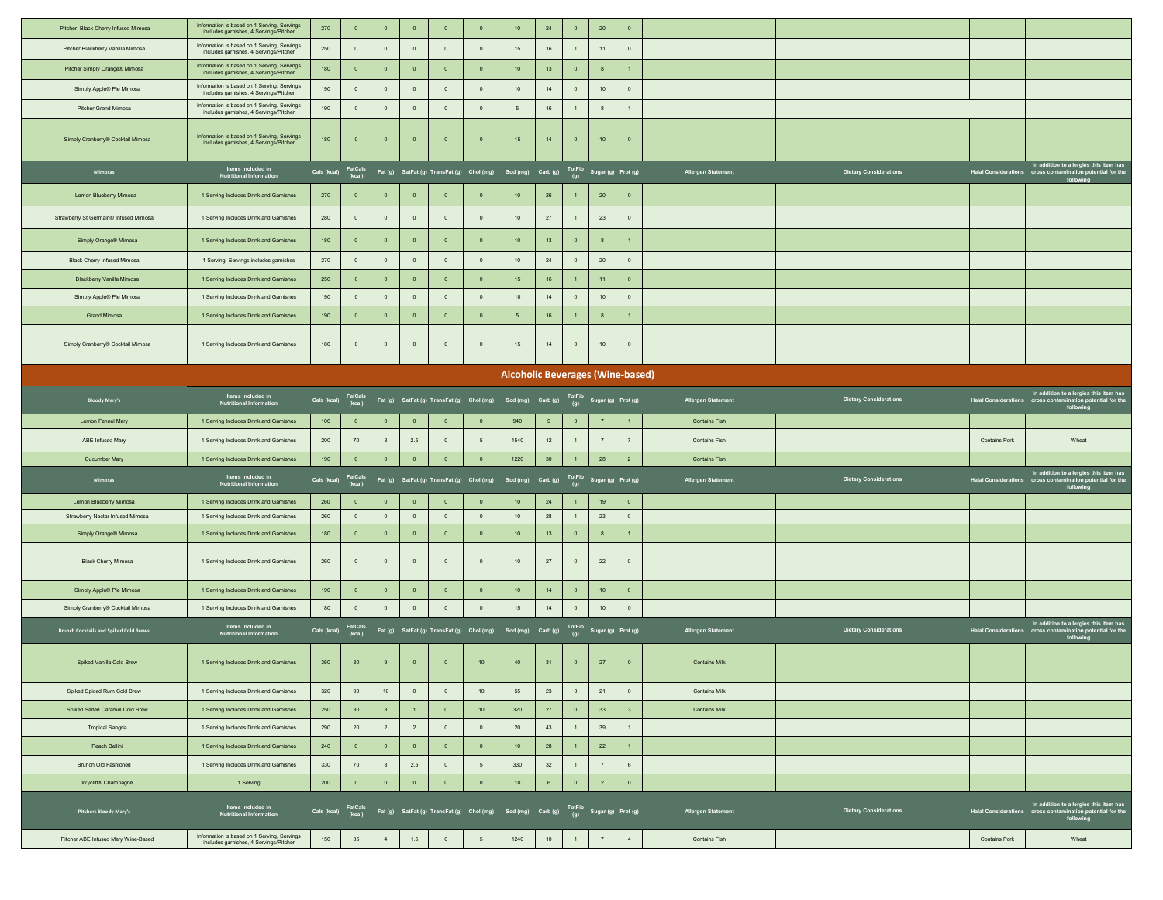| Pitcher Black Cherry Infused Mimosa                 | Information is based on 1 Serving, Servings<br>includes garnishes, 4 Servings/Pitcher | 270         | $\overline{0}$                   | $\overline{0}$            | $\mathbf 0$                   | $\overline{0}$                   | $\overline{0}$                                                                                      | 10                                      | 24       | $\pmb{\mathsf{0}}$     | $20\,$            | $\overline{0}$                   |                           |                               |                      |                                                                                                                   |
|-----------------------------------------------------|---------------------------------------------------------------------------------------|-------------|----------------------------------|---------------------------|-------------------------------|----------------------------------|-----------------------------------------------------------------------------------------------------|-----------------------------------------|----------|------------------------|-------------------|----------------------------------|---------------------------|-------------------------------|----------------------|-------------------------------------------------------------------------------------------------------------------|
| Pitcher Blackberry Vanilla Mimosa                   | Information is based on 1 Serving, Servings<br>includes garnishes, 4 Servings/Pitcher | 250         | $\overline{0}$                   | $\circ$                   | $\mathbf{0}$                  | $\overline{0}$                   | $\circ$                                                                                             | 15                                      | 16       | $\overline{1}$         | 11                | $\overline{0}$                   |                           |                               |                      |                                                                                                                   |
| Pitcher Simply Orange® Mimosa                       | Information is based on 1 Serving, Servings<br>includes garnishes, 4 Servings/Pitcher | 180         | $\overline{\mathbf{0}}$          | $\overline{\mathbf{0}}$   | $\mathbf 0$                   | $\mathbf{0}$                     | $\mathbf 0$                                                                                         | 10                                      | 13       | $\,$ 0                 | 8                 | $\overline{1}$                   |                           |                               |                      |                                                                                                                   |
| Simply Apple® Pie Mimosa                            | Information is based on 1 Serving, Servings<br>includes garnishes, 4 Servings/Pitcher | 190         | $\circ$                          | $\circ$                   | $\mathbb O$                   | $\mathbf 0$                      | $\mathbf 0$                                                                                         | $10$                                    | $14$     | $\mathsf 0$            | 10                | $\circ$                          |                           |                               |                      |                                                                                                                   |
| Pitcher Grand Mimosa                                | Information is based on 1 Serving, Servings<br>includes garnishes, 4 Servings/Pitcher | 190         | $\circ$                          | $\circ$                   | $\mathbb O$                   | $\overline{0}$                   | $\,$ 0 $\,$                                                                                         | $5\phantom{.0}$                         | 16       | $\mathbf{1}$           | 8                 | $\overline{1}$                   |                           |                               |                      |                                                                                                                   |
| Simply Cranberry® Cocktail Mimosa                   | Information is based on 1 Serving, Servings<br>includes garnishes, 4 Servings/Pitcher | 180         | $\overline{\mathbf{0}}$          | $\overline{0}$            | $\,$ 0                        | $\mathbf{0}$                     | $\mathbf 0$                                                                                         | 15                                      | 14       | $\mathbf 0$            | 10                | $\overline{\mathbf{0}}$          |                           |                               |                      |                                                                                                                   |
| Mimosas                                             | Items Included in<br>Nutritional Information                                          | Cals (kcal) | FatCals<br>(kcal)                |                           |                               |                                  | Fat (g) SatFat (g) TransFat (g) Chol (mg) Sod (mg) Carb (g)                                         |                                         |          |                        |                   | TotFib Sugar (g) Prot (g)        | <b>Allergen Statement</b> | <b>Dietary Considerations</b> |                      | In addition to allergies this item has<br>Halal Considerations cross contamination potential for the<br>following |
| Lemon Blueberry Mimosa                              | 1 Serving Includes Drink and Garnishes                                                | 270         | $\overline{\mathbf{0}}$          | $\mathbf 0$               | $\mathbf 0$                   | $\overline{0}$                   | $\mathbf 0$                                                                                         | 10                                      | 26       |                        | $20\,$            | $\circ$                          |                           |                               |                      |                                                                                                                   |
| Strawberry St Germain® Infused Mimosa               | 1 Serving Includes Drink and Garnishes                                                | 280         | $\overline{0}$                   | $\overline{0}$            | $\overline{0}$                | $\overline{0}$                   | $\overline{0}$                                                                                      | 10                                      | 27       | $\mathbf{1}$           | 23                | $\overline{0}$                   |                           |                               |                      |                                                                                                                   |
| Simply Orange® Mimosa                               | 1 Serving Includes Drink and Garnishes                                                | 180         | $\overline{\mathbf{0}}$          | $\overline{0}$            | $\mathbf 0$                   | $\mathbf{0}$                     | $\,$ 0                                                                                              | 10                                      | 13       | $\,$ 0                 | 8                 | $\overline{1}$                   |                           |                               |                      |                                                                                                                   |
| <b>Black Cherry Infused Mimosa</b>                  | 1 Serving, Servings includes garnishes                                                | 270         | $\circ$                          | $\mathbf 0$               | $\mathbb O$                   | $\overline{0}$                   | $\mathbf 0$                                                                                         | 10                                      | 24       | $\mathsf 0$            | $20\,$            | $\circ$                          |                           |                               |                      |                                                                                                                   |
| Blackberry Vanilla Mimosa                           | 1 Serving Includes Drink and Garnishes                                                | 250         | $\overline{0}$                   | $\mathbf 0$               | $\pmb{\mathsf{0}}$            | $\bullet$                        | $\mathbf 0$                                                                                         | $15\,$                                  | $16\,$   | $\overline{1}$         | 11                | $\overline{0}$                   |                           |                               |                      |                                                                                                                   |
| Simply Apple® Pie Mimosa                            | 1 Serving Includes Drink and Garnishes                                                | 190         | $\circ$                          | $\circ$                   | $\overline{0}$                | $\overline{0}$                   | $\overline{0}$                                                                                      | 10                                      | 14       | $\circ$                | $10$              | $\circ$                          |                           |                               |                      |                                                                                                                   |
| <b>Grand Mimosa</b>                                 | 1 Serving Includes Drink and Garnishes                                                | 190         | $\overline{\mathbf{0}}$          | $\mathbf 0$               | $\mathbf 0$                   | $\mathbf 0$                      | $\mathbf 0$                                                                                         | $5\phantom{.0}$                         | 16       | $\mathbf{1}$           | 8                 | $\overline{1}$                   |                           |                               |                      |                                                                                                                   |
| Simply Cranberry® Cocktail Mimosa                   | 1 Serving Includes Drink and Garnishes                                                | 180         | $\circ$                          | $\circ$                   | $\,$ 0                        | $\bf{0}$                         | $\,$ 0                                                                                              | 15                                      | 14       | $\mathbf 0$            | 10                | $\circ$                          |                           |                               |                      |                                                                                                                   |
|                                                     |                                                                                       |             |                                  |                           |                               |                                  |                                                                                                     | <b>Alcoholic Beverages (Wine-based)</b> |          |                        |                   |                                  |                           |                               |                      |                                                                                                                   |
| <b>Bloody Mary's</b>                                | Items Included in<br>Nutritional Information                                          | Cals (kcal) | FatCals<br>(kcal)                |                           |                               |                                  | Fat (g) SatFat (g) TransFat (g) Chol (mg) Sod (mg) Carb (g) TotFib Sugar (g) Prot (g)               |                                         |          |                        |                   |                                  | Allergen Statement        | <b>Dietary Considerations</b> |                      | In addition to allergies this item has<br>Halal Considerations cross contamination potential for the<br>following |
| Lemon Fennel Mary                                   | 1 Serving Includes Drink and Garnishes                                                | 100         | $\overline{\mathbf{0}}$          | $\overline{0}$            | $\,$ 0                        | $\mathbf{0}$                     | $\mathbf 0$                                                                                         | 940                                     | $\bf{9}$ | $\circ$                | 7                 |                                  | <b>Contains Fish</b>      |                               |                      |                                                                                                                   |
| ABE Infused Mary                                    | 1 Serving Includes Drink and Garnishes                                                | 200         | 70                               | 8                         | 2.5                           | $\overline{0}$                   | 5                                                                                                   | 1540                                    | 12       | $\overline{1}$         | $7\overline{ }$   | 7                                | Contains Fish             |                               | <b>Contains Pork</b> | Wheat                                                                                                             |
| <b>Cucumber Mary</b>                                | 1 Serving Includes Drink and Garnishes                                                | 190         | $\overline{0}$                   | $\overline{0}$            | $\overline{\mathbf{0}}$       | $\overline{0}$                   | $\overline{0}$                                                                                      | 1220                                    | 30       | $\mathbf{1}$           | 28                | $\overline{2}$                   | <b>Contains Fish</b>      |                               |                      |                                                                                                                   |
| Mimosas                                             | Items Included in<br>Nutritional Information                                          | Cals (kcal) | FatCals<br>(kcal)                |                           |                               |                                  | Fat (g) SatFat (g) TransFat (g) Chol (mg) Sod (mg) Carb (g) $\overline{f}$ OtFib Sugar (g) Prot (g) |                                         |          |                        |                   |                                  | <b>Allergen Statement</b> | <b>Dietary Considerations</b> |                      | In addition to allergies this item has<br>Halal Considerations cross contamination potential for the<br>following |
| Lemon Blueberry Mimosa                              | 1 Serving Includes Drink and Garnishes                                                | 260         | $\overline{0}$                   | $\overline{0}$            | $\mathbf 0$                   | $\overline{0}$                   | $\overline{0}$                                                                                      | 10                                      | 24       | -1                     | 19                | $\overline{0}$                   |                           |                               |                      |                                                                                                                   |
| Strawberry Nectar Infused Mimosa                    | 1 Serving Includes Drink and Garnishes                                                | 260         | $\circ$                          | $\mathbb O$               | $\,$ 0 $\,$                   | $\overline{0}$                   | $\circ$                                                                                             | $10$                                    | 28       | $\mathbf{1}$           | 23                | $\circ$                          |                           |                               |                      |                                                                                                                   |
| Simply Orange® Mimosa<br><b>Black Cherry Mimosa</b> | 1 Serving Includes Drink and Garnishes<br>1 Serving Includes Drink and Garnishes      | 180<br>260  | $\overline{0}$<br>$\overline{0}$ | $\overline{0}$<br>$\circ$ | $\mathbf 0$<br>$\overline{0}$ | $\overline{0}$<br>$\overline{0}$ | $\overline{0}$<br>$\circ$                                                                           | 10<br>10                                | 13<br>27 | $\mathbf 0$<br>$\circ$ | $\,$ 8 $\,$<br>22 | $\overline{1}$<br>$\overline{0}$ |                           |                               |                      |                                                                                                                   |
|                                                     |                                                                                       |             |                                  |                           |                               |                                  |                                                                                                     |                                         |          |                        |                   |                                  |                           |                               |                      |                                                                                                                   |
| Simply Apple® Pie Mimosa                            | 1 Serving Includes Drink and Garnishes                                                | 190         | $\overline{0}$                   | $\overline{0}$            | $\mathbf 0$                   | $\overline{0}$                   | $\mathbf 0$                                                                                         | 10                                      | 14       | $\overline{0}$         | 10 <sub>1</sub>   | $\overline{0}$                   |                           |                               |                      |                                                                                                                   |
| Simply Cranberry® Cocktail Mimosa                   | 1 Serving Includes Drink and Garnishes                                                | 180         | $\circ$                          | $\circ$                   | $\mathbf{0}$                  | $\overline{0}$                   | $\overline{0}$                                                                                      | 15                                      | 14       | $\overline{0}$         | 10                | $\overline{0}$                   |                           |                               |                      |                                                                                                                   |
| <b>Brunch Cocktails and Spiked Cold Brews</b>       | Items Included in<br>Nutritional Information                                          | Cals (kcal) | FatCals<br>(kcal)                |                           |                               |                                  | Fat (g) SatFat (g) TransFat (g) Chol (mg) Sod (mg) Carb (g) TotFib Sugar (g) Prot (g)               |                                         |          |                        |                   |                                  | Allergen Statement        | <b>Dietary Considerations</b> |                      | In addition to allergies this item has<br>Halal Considerations cross contamination potential for the<br>following |
| Spiked Vanilla Cold Brew                            | 1 Serving Includes Drink and Garnishes                                                | 360         | 80                               | 9                         | $\mathbf 0$                   | $\overline{0}$                   | $10\,$                                                                                              | 40                                      | 31       | $\mathbf 0$            | 27                | $\overline{0}$                   | <b>Contains Milk</b>      |                               |                      |                                                                                                                   |
| Spiked Spiced Rum Cold Brew                         | 1 Serving Includes Drink and Garnishes                                                | 320         | 90                               | 10 <sub>1</sub>           | $\mathbf 0$                   | $\circ$                          | 10                                                                                                  | 55                                      | 23       | $\mathsf 0$            | 21                | $\circ$                          | Contains Milk             |                               |                      |                                                                                                                   |
| Spiked Salted Caramel Cold Brew                     | 1 Serving Includes Drink and Garnishes                                                | 250         | 30 <sup>°</sup>                  | $\overline{\mathbf{3}}$   | 1                             | $\overline{0}$                   | 10                                                                                                  | 320                                     | 27       | $\overline{0}$         | 33                | 3 <sup>2</sup>                   | <b>Contains Milk</b>      |                               |                      |                                                                                                                   |
| <b>Tropical Sangria</b>                             | 1 Serving Includes Drink and Garnishes                                                | 290         | $20\,$                           | $2^{\circ}$               | $\overline{2}$                | $\overline{0}$                   | $\,$ 0 $\,$                                                                                         | $20\,$                                  | 43       | $\mathbf{1}$           | 39                | $\overline{1}$                   |                           |                               |                      |                                                                                                                   |
| Peach Bellini                                       | 1 Serving Includes Drink and Garnishes                                                | 240         | $\overline{0}$                   | $\overline{0}$            | $\mathbf 0$                   | $\bullet$                        | $\mathbf 0$                                                                                         | $10$                                    | 28       | $\overline{1}$         | 22                | $\overline{1}$                   |                           |                               |                      |                                                                                                                   |
| Brunch Old Fashioned                                | 1 Serving Includes Drink and Garnishes                                                | 330         | 70                               | 8                         | $2.5\,$                       | $\overline{0}$                   | $5\phantom{.0}$                                                                                     | 330                                     | 32       | $\overline{1}$         | 7                 | $6\phantom{.0}$                  |                           |                               |                      |                                                                                                                   |
| Wycliff® Champagne                                  | 1 Serving                                                                             | 200         | $\overline{0}$                   | $\overline{0}$            | $\mathbf 0$                   | $\mathbf 0$                      | $\mathbf 0$                                                                                         | 10                                      | $\,6\,$  | $\,$ 0                 | $\overline{2}$    | $\overline{0}$                   |                           |                               |                      |                                                                                                                   |
| <b>Pitchers Bloody Mary's</b>                       | Items Included in<br><b>Nutritional Information</b>                                   | Cals (kcal) | FatCals<br>(kcal)                |                           |                               |                                  | Fat (g) SatFat (g) TransFat (g) Chol (mg) Sod (mg) Carb (g) TotFib Sugar (g) Prot (g)               |                                         |          |                        |                   |                                  | Allergen Statement        | <b>Dietary Considerations</b> |                      | In addition to allergies this item has<br>Halal Considerations cross contamination potential for the<br>following |
|                                                     |                                                                                       |             |                                  |                           |                               |                                  |                                                                                                     |                                         |          |                        |                   |                                  |                           |                               |                      |                                                                                                                   |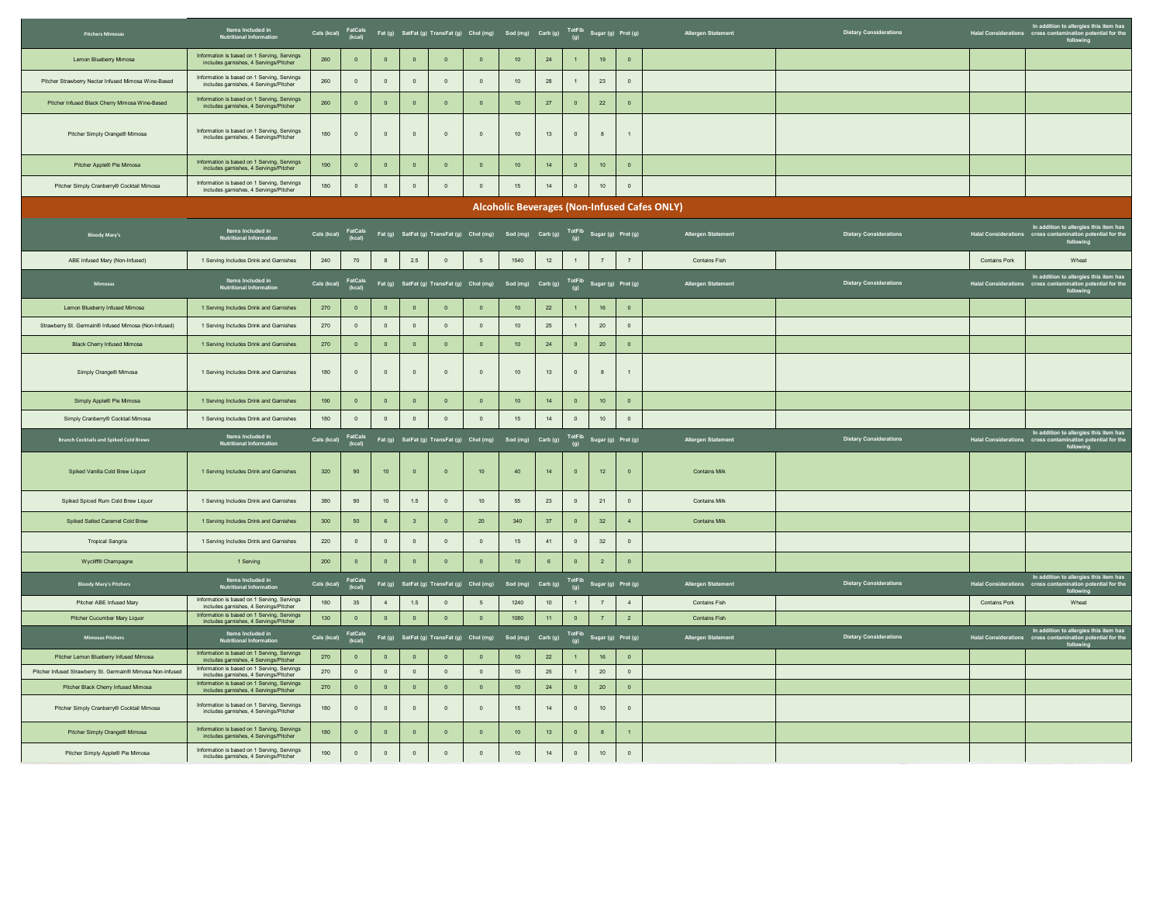| <b>Pitchers Mimosas</b>                                    | Items Included in<br>Nutritional Information                                          |             |                   |                         |                         |                | Cals (kcal) FatCals Fat (g) SatFat (g) TransFat (g) Chol (mg) Sod (mg) Carb (g) TotFib Sugar (g) Prot (g)          |                                                             |                 |                         |                 |                           | Allergen Statement                                  | <b>Dietary Considerations</b> |                                | In addition to allergies this item has<br>Halal Considerations cross contamination potential for the<br>following |
|------------------------------------------------------------|---------------------------------------------------------------------------------------|-------------|-------------------|-------------------------|-------------------------|----------------|--------------------------------------------------------------------------------------------------------------------|-------------------------------------------------------------|-----------------|-------------------------|-----------------|---------------------------|-----------------------------------------------------|-------------------------------|--------------------------------|-------------------------------------------------------------------------------------------------------------------|
| Lemon Blueberry Mimosa                                     | Information is based on 1 Serving, Servings<br>includes garnishes, 4 Servings/Pitcher | 260         | $\mathbf 0$       | $\mathbf 0$             | $\overline{\mathbf{0}}$ | $\mathbf{0}$   | $\circ$                                                                                                            | $101$                                                       | 24              | $\overline{1}$          | 19              | $\,$ 0 $\,$               |                                                     |                               |                                |                                                                                                                   |
| Pitcher Strawberry Nectar Infused Mimosa Wine-Based        | Information is based on 1 Serving, Servings<br>includes garnishes, 4 Servings/Pitcher | 260         | $\mathbf{0}$      | $\mathbf{0}$            | $\overline{0}$          | $\mathbf{0}$   | $\overline{0}$                                                                                                     | 10                                                          | ${\bf 28}$      |                         | 23              | $\overline{0}$            |                                                     |                               |                                |                                                                                                                   |
| Pitcher Infused Black Cherry Mimosa Wine-Based             | Information is based on 1 Serving, Servings<br>includes garnishes, 4 Servings/Pitcher | 260         | $\mathbf 0$       | $\mathbf 0$             | $\overline{\mathbf{0}}$ | $\circ$        | $\overline{0}$                                                                                                     | 10 <sup>10</sup>                                            | $27\,$          | $\,$ 0 $\,$             | 22              | $\overline{0}$            |                                                     |                               |                                |                                                                                                                   |
| Pitcher Simply Orange® Mimosa                              | Information is based on 1 Serving, Servings<br>includes garnishes, 4 Servings/Pitcher | 180         | $\mathbb O$       | $\mathbb O$             | $\circ$                 | $\mathbb O$    | $\circ$                                                                                                            | 10                                                          | 13              | $\circ$                 | 8               | $\overline{1}$            |                                                     |                               |                                |                                                                                                                   |
| Pitcher Apple® Pie Mimosa                                  | Information is based on 1 Serving, Servings<br>includes garnishes, 4 Servings/Pitcher | 190         | $\circ$           | $\mathbf 0$             | $\mathbf 0$             | $\mathbf 0$    | $\bullet$                                                                                                          | $101$                                                       | 14              | $\,$ 0 $\,$             | 10              | $\overline{0}$            |                                                     |                               |                                |                                                                                                                   |
| Pitcher Simply Cranberry® Cocktail Mimosa                  | Information is based on 1 Serving, Servings<br>includes garnishes, 4 Servings/Pitcher | 180         | $\circ$           | $\circ$                 | $\,$ 0 $\,$             | $\mathbf 0$    | $\,$ 0 $\,$                                                                                                        | $15\,$                                                      | $14\,$          | $\circ$                 | 10              | $\mathbf{0}$              |                                                     |                               |                                |                                                                                                                   |
|                                                            |                                                                                       |             |                   |                         |                         |                |                                                                                                                    |                                                             |                 |                         |                 |                           | <b>Alcoholic Beverages (Non-Infused Cafes ONLY)</b> |                               |                                |                                                                                                                   |
| <b>Bloody Mary's</b>                                       | Items Included in<br>Nutritional Information                                          | Cals (kcal) |                   |                         |                         |                | FatCals<br>(kcal) Fat (g) SatFat (g) TransFat (g) Chol (mg) Sod (mg) Carb (g) <sup>TotFib</sup> Sugar (g) Prot (g) |                                                             |                 |                         |                 |                           | Allergen Statement                                  | <b>Dietary Considerations</b> |                                | In addition to allergies this item has<br>Halal Considerations cross contamination potential for the<br>following |
| ABE Infused Mary (Non-Infused)                             | 1 Serving Includes Drink and Garnishes                                                | 240         | 70                | 8                       | $2.5\,$                 | $\mathbb O$    | 5                                                                                                                  | 1540                                                        | 12              | $\overline{1}$          | 7               | $\overline{7}$            | Contains Fish                                       |                               | Contains Pork                  | Wheat                                                                                                             |
| Mimosas                                                    | Items Included in<br>Nutritional Information                                          | Cals (kcal) | FatCals<br>(kcal) |                         |                         |                | Fat (g) SatFat (g) TransFat (g) Chol (mg) Sod (mg) Carb (g) $\frac{\text{TotFib}}{(g)}$ Sugar (g) Prot (g)         |                                                             |                 |                         |                 |                           | Allergen Statement                                  | <b>Dietary Considerations</b> | Halal Considerations cross con | In addition to allergies this item has<br>mination potential for the<br>following                                 |
| Lemon Blueberry Infused Mimosa                             | 1 Serving Includes Drink and Garnishes                                                | 270         | $\mathbf 0$       | $\,$ 0 $\,$             | $\bullet$               | $\overline{0}$ | $\overline{0}$                                                                                                     | $10\,$                                                      | 22              | $\mathbf{1}$            | 16              | $\overline{0}$            |                                                     |                               |                                |                                                                                                                   |
| Strawberry St. Germain® Infused Mimosa (Non-Infused)       | 1 Serving Includes Drink and Garnishes                                                | 270         | $\overline{0}$    | $\circ$                 | $\overline{0}$          | $\mathbb O$    | $\circ$                                                                                                            | 10                                                          | $25\,$          | $\overline{1}$          | 20              | $\overline{0}$            |                                                     |                               |                                |                                                                                                                   |
| <b>Black Cherry Infused Mimosa</b>                         | 1 Serving Includes Drink and Garnishes                                                | 270         | $\overline{0}$    | $\,$ 0 $\,$             | $\overline{\mathbf{0}}$ | $\overline{0}$ | $\overline{0}$                                                                                                     | $101$                                                       | ${\bf 24}$      | $\,$ 0 $\,$             | 20              | $\overline{0}$            |                                                     |                               |                                |                                                                                                                   |
| Simply Orange® Mimosa                                      | 1 Serving Includes Drink and Garnishes                                                | 180         | $\circ$           | $\circ$                 | $\overline{0}$          | $\circ$        | $\overline{0}$                                                                                                     | 10                                                          | 13              | $\circ$                 | 8               | $\overline{1}$            |                                                     |                               |                                |                                                                                                                   |
| Simply Apple® Pie Mimosa                                   | 1 Serving Includes Drink and Garnishes                                                | 190         | $\mathbf 0$       | $\mathbf 0$             | $\bullet$               | $\mathbf 0$    | $\bullet$                                                                                                          | $10\,$                                                      | 14              | $\,$ 0 $\,$             | 10 <sub>1</sub> | $\,$ 0 $\,$               |                                                     |                               |                                |                                                                                                                   |
| Simply Cranberry® Cocktail Mimosa                          | 1 Serving Includes Drink and Garnishes                                                | 180         | $\mathbb O$       | $\mathsf{o}$            | $\overline{0}$          | $\mathbf{0}$   | $\circ$                                                                                                            | $15\,$                                                      | $14\,$          | $\,$ 0 $\,$             | 10              | $\,$ 0 $\,$               |                                                     |                               |                                |                                                                                                                   |
| <b>Brunch Cocktails and Spiked Cold Brews</b>              | Items Included in<br>Nutritional Information                                          | Cals (kcal) | FatCals<br>(kcal) |                         |                         |                | Fat (g) SatFat (g) TransFat (g) Chol (mg) Sod (mg) Carb (g) $\frac{\text{TotFib}}{(g)}$ Sugar (g) Prot (g)         |                                                             |                 |                         |                 |                           | Allergen Statement                                  | <b>Dietary Considerations</b> |                                | In addition to allergies this item has<br>Halal Considerations cross contamination potential for the<br>following |
| Spiked Vanilla Cold Brew Liquor                            | 1 Serving Includes Drink and Garnishes                                                | 320         | 90                | $101$                   | $\,$ 0 $\,$             | $\mathbf 0$    | $10$                                                                                                               | $40\,$                                                      | 14              | $\mathbf 0$             | 12              | $\,$ 0 $\,$               | <b>Contains Milk</b>                                |                               |                                |                                                                                                                   |
| Spiked Spiced Rum Cold Brew Liquor                         | 1 Serving Includes Drink and Garnishes                                                | 380         | 90                | 10 <sub>1</sub>         | $1.5$                   | $\mathbf 0$    | $10$                                                                                                               | 55                                                          | 23              | $\overline{0}$          | 21              | $\,$ 0 $\,$               | Contains Milk                                       |                               |                                |                                                                                                                   |
| Sniked Salted Caramel Cold Brew                            | 1 Serving Includes Drink and Garnishes                                                | 300         | 50                | 6 <sup>1</sup>          | $\overline{\mathbf{3}}$ | $\Omega$       | 20                                                                                                                 | 340                                                         | 37              | $\circ$                 | 32              | $\overline{4}$            | <b>Contains Milk</b>                                |                               |                                |                                                                                                                   |
| <b>Tropical Sangria</b>                                    | 1 Serving Includes Drink and Garnishes                                                | 220         | $\circ$           | $\mathsf{o}$            | $\overline{0}$          | $\circ$        | $\overline{0}$                                                                                                     | 15                                                          | 41              | $\circ$                 | 32              | $\overline{0}$            |                                                     |                               |                                |                                                                                                                   |
| Wycliff® Champagne                                         | 1 Serving                                                                             | 200         | $\mathbf 0$       | $\mathbf 0$             | $\overline{\mathbf{0}}$ | $\mathbf 0$    | $\overline{0}$                                                                                                     | $101$                                                       | $\,6\,$         | $\,$ 0 $\,$             | $\sqrt{2}$      | $\mathbf 0$               |                                                     |                               |                                |                                                                                                                   |
| <b>Bloody Mary's Pitchers</b>                              | Items Included in<br>Nutritional Informatio                                           | Cals (kcal) | FatCals<br>(kcal) |                         |                         |                | Fat (g) SatFat (g) TransFat (g) Chol (mg)                                                                          | Sod (mg) $Carb(g)$ $\overline{I}$ ot Fib Sugar (g) Prot (g) |                 |                         |                 |                           | Allergen Statement                                  | Dietary Considerations        |                                | In addition to allergies this item has<br>Halal Considerations cross contamination potential for the<br>following |
| Pitcher ABE Infused Mary                                   | Information is based on 1 Serving, Servings<br>includes garnishes, 4 Servings/Pitcher | 180         | 35                | $\overline{4}$          | 1.5                     | $\overline{0}$ | 5 <sup>5</sup>                                                                                                     | 1240                                                        | 10              | $\overline{1}$          | 7               | $\overline{4}$            | <b>Contains Fish</b>                                |                               | <b>Contains Pork</b>           | Wheat                                                                                                             |
| Pitcher Cucumber Mary Liquor                               | Information is based on 1 Serving, Servings<br>includes garnishes, 4 Servings/Pitcher | 130         | $\overline{0}$    | $\overline{0}$          | $\overline{0}$          | $\circ$        | $\circ$                                                                                                            | 1080                                                        | 11 <sub>1</sub> | $\overline{0}$          | 7               | $\overline{2}$            | <b>Contains Fish</b>                                |                               |                                |                                                                                                                   |
| <b>Mimosas Pitchers</b>                                    | Items Included in<br>Nutritional Information                                          | Cals (kcal) | FatCals<br>(kcal) |                         |                         |                | Fat (g) SatFat (g) TransFat (g) Chol (mg) Sod (mg) Carb (g)                                                        |                                                             |                 |                         |                 | TotFib Sugar (g) Prot (g) | Allergen Statement                                  | <b>Dietary Considerations</b> |                                | In addition to allergies this item has<br>Halal Considerations cross contamination potential for the<br>following |
| Pitcher Lemon Blueberry Infused Mimosa                     | Information is based on 1 Serving, Servings<br>includes garnishes, 4 Servings/Pitcher | 270         | $\mathbf 0$       | $\,$ 0 $\,$             | $\bullet$               | $\mathbf 0$    | $\overline{0}$                                                                                                     | $10\,$                                                      | 22              | $\mathbf{1}$            | 16              | $\,$ 0 $\,$               |                                                     |                               |                                |                                                                                                                   |
| Pitcher Infused Strawberry St. Germain® Mimosa Non-Infused | Information is based on 1 Serving, Servings<br>includes garnishes, 4 Servings/Pitcher | 270         | $\circ$           | $\circ$                 | $\circ$                 | $\overline{0}$ | $\overline{0}$                                                                                                     | 10                                                          | 25              | 1                       | 20              | $\circ$                   |                                                     |                               |                                |                                                                                                                   |
| Pitcher Black Cherry Infused Mimosa                        | Information is based on 1 Serving, Servings<br>includes garnishes, 4 Servings/Pitcher | 270         | $\overline{0}$    | $\overline{\mathbf{0}}$ | $\overline{0}$          | $\,$ 0 $\,$    | $\overline{0}$                                                                                                     | $10\,$                                                      | 24              | $\overline{\mathbf{0}}$ | 20              | $\,$ 0 $\,$               |                                                     |                               |                                |                                                                                                                   |
| Pitcher Simply Cranberry® Cocktail Mimosa                  | Information is based on 1 Serving, Servings<br>includes garnishes, 4 Servings/Pitcher | 180         | $\mathbb O$       | $\mathbb O$             | $\mathbf 0$             | $\mathbb O$    | $\circ$                                                                                                            | 15                                                          | 14              | $\,$ 0 $\,$             | 10              | $\,$ 0 $\,$               |                                                     |                               |                                |                                                                                                                   |
| Pitcher Simply Orange® Mimosa                              | Information is based on 1 Serving, Servings<br>includes garnishes, 4 Servings/Pitcher | 180         | $\overline{0}$    | $\mathbf 0$             | $\mathbf 0$             | $\mathbf 0$    | $\overline{0}$                                                                                                     | 10                                                          | 13              | $\,$ 0                  | 8               | $\overline{1}$            |                                                     |                               |                                |                                                                                                                   |
| Pitcher Simply Apple® Pie Mimosa                           | Information is based on 1 Serving, Servings<br>includes garnishes, 4 Servings/Pitcher | 190         | $\mathbb O$       | $\,$ 0 $\,$             | $\circ$                 | $\mathbb O$    | $\mathbb O$                                                                                                        | 10                                                          | 14              | $\,$ 0 $\,$             | 10              | $\mathbb O$               |                                                     |                               |                                |                                                                                                                   |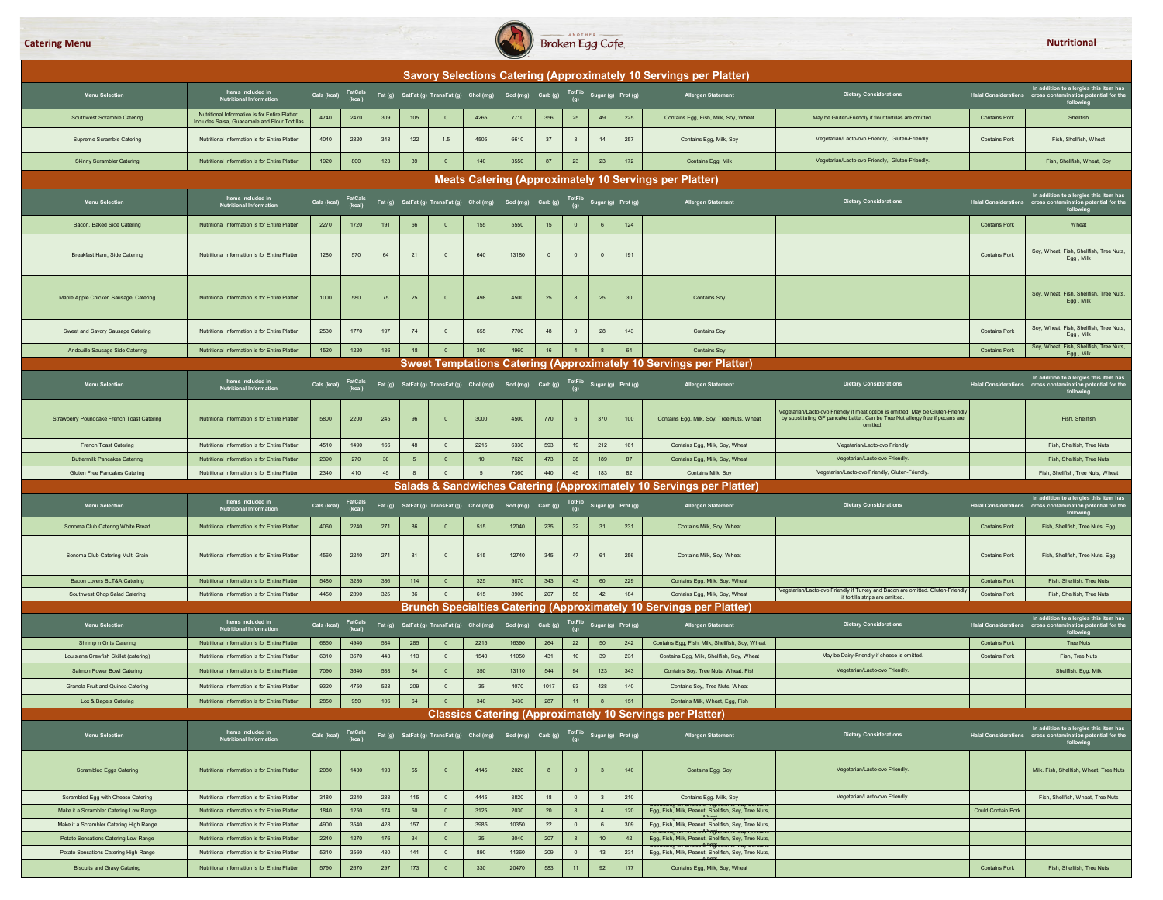

|                                                                             |                                                                                                |              |                   |            |                 |                               |                                                                                                                          |                   |             |                         |                           |                    | Savory Selections Catering (Approximately 10 Servings per Platter)                                                                                                                                                                                                                                                            |                                                                                                                                                                              |                                      |                                                                                                                   |
|-----------------------------------------------------------------------------|------------------------------------------------------------------------------------------------|--------------|-------------------|------------|-----------------|-------------------------------|--------------------------------------------------------------------------------------------------------------------------|-------------------|-------------|-------------------------|---------------------------|--------------------|-------------------------------------------------------------------------------------------------------------------------------------------------------------------------------------------------------------------------------------------------------------------------------------------------------------------------------|------------------------------------------------------------------------------------------------------------------------------------------------------------------------------|--------------------------------------|-------------------------------------------------------------------------------------------------------------------|
| <b>Menu Selection</b>                                                       | Items Included in<br><b>Nutritional Information</b>                                            | Cals (kcal)  | FatCals<br>(kcal) |            |                 |                               | Fat (g) SatFat (g) TransFat (g) Chol (mg) Sod (mg) Carb (g) TotFib Sugar (g) Prot (g)                                    |                   |             |                         |                           |                    | <b>Allergen Statement</b>                                                                                                                                                                                                                                                                                                     | <b>Dietary Considerations</b>                                                                                                                                                |                                      | In addition to allergies this item has<br>Halal Considerations cross contamination potential for the<br>following |
| Southwest Scramble Catering                                                 | Nutritional Information is for Entire Platter<br>Includes Salsa, Guacamole and Flour Tortillas | 4740         | 2470              | 309        | 105             | $\overline{0}$                | 4265                                                                                                                     | 7710              | 356         | $25\phantom{.0}$        | 49                        | 225                | Contains Egg, Fish, Milk, Soy, Wheat                                                                                                                                                                                                                                                                                          | May be Gluten-Friendly if flour tortillas are omitted.                                                                                                                       | <b>Contains Pork</b>                 | Shellfish                                                                                                         |
| Supreme Scramble Catering                                                   | Nutritional Information is for Entire Platter                                                  | 4040         | 2820              | 348        | 122             | 1.5                           | 4505                                                                                                                     | 6610              | 37          | $\overline{\mathbf{3}}$ | 14                        | 257                | Contains Egg, Milk, Soy                                                                                                                                                                                                                                                                                                       | Vegetarian/Lacto-ovo Friendly, Gluten-Friendly.                                                                                                                              | <b>Contains Pork</b>                 | Fish Shellfish Wheat                                                                                              |
| Skinny Scrambler Catering                                                   | Nutritional Information is for Entire Platter                                                  | 1920         | 800               | 123        | 39              | $\overline{0}$                | 140                                                                                                                      | 3550              | 87          | 23                      | 23                        | 172                | Contains Egg, Milk                                                                                                                                                                                                                                                                                                            | Vegetarian/Lacto-ovo Friendly, Gluten-Friendly.                                                                                                                              |                                      | Fish, Shellfish, Wheat, Sov                                                                                       |
|                                                                             |                                                                                                |              |                   |            |                 |                               |                                                                                                                          |                   |             |                         |                           |                    | Meats Catering (Approximately 10 Servings per Platter)                                                                                                                                                                                                                                                                        |                                                                                                                                                                              |                                      |                                                                                                                   |
| <b>Menu Selection</b>                                                       | Items Included in<br><b>Nutritional Information</b>                                            | Cals (kcal)  | FatCals<br>(kcal) |            |                 |                               | Fat (g) SatFat (g) TransFat (g) Chol (mg) Sod (mg) Carb (g)                                                              |                   |             |                         | TotFib Sugar (g) Prot (g) |                    | Allergen Statement                                                                                                                                                                                                                                                                                                            | <b>Dietary Considerations</b>                                                                                                                                                | Halal Considerations cross contamina | In addition to allergies this item has<br>on potential for the<br>following                                       |
| Bacon, Baked Side Catering                                                  | Nutritional Information is for Entire Platter                                                  | 2270         | 1720              | 191        | 66              | $\overline{0}$                | 155                                                                                                                      | 5550              | 15          | $\mathbf{0}$            | $\,6\,$                   | 124                |                                                                                                                                                                                                                                                                                                                               |                                                                                                                                                                              | <b>Contains Pork</b>                 | Wheat                                                                                                             |
| Breakfast Ham, Side Catering                                                | Nutritional Information is for Entire Platter                                                  | 1280         | 570               | 64         | 21              | $\mathbb O$                   | 640                                                                                                                      | 13180             | $\circ$     | $\mathbb O$             | $\overline{0}$            | 191                |                                                                                                                                                                                                                                                                                                                               |                                                                                                                                                                              | <b>Contains Pork</b>                 | Soy, Wheat, Fish, Shellfish, Tree Nuts,<br>Egg, Milk                                                              |
| Maple Apple Chicken Sausage, Catering                                       | Nutritional Information is for Entire Platter                                                  | 1000         | 580               | 75         | 25              | $\overline{0}$                | 498                                                                                                                      | 4500              | 25          |                         | 25                        | 30                 | <b>Contains Sov</b>                                                                                                                                                                                                                                                                                                           |                                                                                                                                                                              |                                      | Soy, Wheat, Fish, Shellfish, Tree Nuts,<br>Egg, Milk                                                              |
| Sweet and Savory Sausage Catering                                           | Nutritional Information is for Entire Platter                                                  | 2530         | 1770              | 197        | 74              | $\overline{0}$                | 655                                                                                                                      | 7700              | 48          | $\mathbf{0}$            | 28                        | 143                | <b>Contains Soy</b>                                                                                                                                                                                                                                                                                                           |                                                                                                                                                                              | <b>Contains Pork</b>                 | Soy, Wheat, Fish, Shellfish, Tree Nuts,<br>Egg, Milk                                                              |
| Andouille Sausage Side Catering                                             | Nutritional Information is for Entire Platter                                                  | 1520         | 1220              | 136        | 48              | $\overline{0}$                | 300                                                                                                                      | 4960              | 16          | $\overline{4}$          | $\overline{\mathbf{8}}$   | 64                 | <b>Contains Soy</b>                                                                                                                                                                                                                                                                                                           |                                                                                                                                                                              | <b>Contains Pork</b>                 | Soy, Wheat, Fish, Shellfish, Tree Nuts,<br>Egg, Milk                                                              |
|                                                                             |                                                                                                |              |                   |            |                 |                               |                                                                                                                          |                   |             |                         |                           |                    | Sweet Temptations Catering (Approximately 10 Servings per Platter)                                                                                                                                                                                                                                                            |                                                                                                                                                                              |                                      |                                                                                                                   |
| <b>Menu Selection</b>                                                       | Items Included in<br>Nutritional Information                                                   |              |                   |            |                 |                               | Cals (kcal) FatCals Fat (g) SatFat (g) TransFat (g) Chol (mg) Sod (mg) Carb (g) TotFib Sugar (g) Prot (g)                |                   |             |                         |                           |                    | Allergen Statement                                                                                                                                                                                                                                                                                                            | <b>Dietary Considerations</b>                                                                                                                                                | Halal Considerations cross cont      | In addition to allergies this item has<br>ion potential for the<br>following                                      |
| Strawberry Poundcake French Toast Catering                                  | Nutritional Information is for Entire Platter                                                  | 5800         | 2200              | 245        | 96              | $\mathbf{0}$                  | 3000                                                                                                                     | 4500              | 770         |                         | 370                       | 100                | Contains Egg, Milk, Soy, Tree Nuts, Wheat                                                                                                                                                                                                                                                                                     | /egetarian/Lacto-ovo Friendly if meat option is omitted. May be Gluten-Friendly<br>by substituting GF pancake batter. Can be Tree Nut allergy free if pecans are<br>omitted. |                                      | Fish, Shellfish                                                                                                   |
| French Toast Catering                                                       | Nutritional Information is for Entire Platter                                                  | 4510         | 1490              | 166        | 48              | $\overline{0}$                | 2215                                                                                                                     | 6330              | 593         | 19                      | 212                       | 161                | Contains Egg, Milk, Soy, Wheat                                                                                                                                                                                                                                                                                                | Vegetarian/Lacto-ovo Friendly                                                                                                                                                |                                      | Fish Shellfish Tree Nuts                                                                                          |
| <b>Buttermilk Pancakes Catering</b>                                         | Nutritional Information is for Entire Platter                                                  | 2390         | 270               | 30         | $5\phantom{.0}$ | $\overline{0}$                | 10                                                                                                                       | 7620              | 473         | 38                      | 189                       | 87                 | Contains Egg, Milk, Soy, Wheat                                                                                                                                                                                                                                                                                                | Vegetarian/Lacto-ovo Friendly.                                                                                                                                               |                                      | <b>Fish Shellfish Tree Nuts</b>                                                                                   |
|                                                                             |                                                                                                |              |                   |            |                 |                               |                                                                                                                          |                   |             |                         |                           |                    |                                                                                                                                                                                                                                                                                                                               |                                                                                                                                                                              |                                      |                                                                                                                   |
| Gluten Free Pancakes Catering                                               | Nutritional Information is for Entire Platter                                                  | 2340         | 410               | 45         | 8               | $\mathbf 0$                   | $5\overline{5}$                                                                                                          | 7360              | 440         | 45                      | 183                       | 82                 | Contains Milk, Soy                                                                                                                                                                                                                                                                                                            | Vegetarian/Lacto-ovo Friendly, Gluten-Friendly.                                                                                                                              |                                      | Fish, Shellfish, Tree Nuts, Wheat                                                                                 |
|                                                                             |                                                                                                |              |                   |            |                 |                               |                                                                                                                          |                   |             |                         |                           |                    | Salads & Sandwiches Catering (Approximately 10 Servings per Platter)                                                                                                                                                                                                                                                          |                                                                                                                                                                              |                                      |                                                                                                                   |
| <b>Menu Selection</b>                                                       | Items Included in<br><b>Nutritional Information</b>                                            | Cals (kcal)  | FatCals<br>(kcal) |            |                 |                               | Fat (g) SatFat (g) TransFat (g) Chol (mg) Sod (mg) Carb (g)                                                              |                   |             | <b>TotFib</b><br>(q)    |                           | Sugar (g) Prot (g) | <b>Allergen Statement</b>                                                                                                                                                                                                                                                                                                     | <b>Dietary Considerations</b>                                                                                                                                                |                                      | In addition to allergies this item has<br>Halal Considerations cross contamination potential for the<br>following |
| Sonoma Club Catering White Bread                                            | Nutritional Information is for Entire Platter                                                  | 4060         | 2240              | 271        | 86              | $\overline{0}$                | 515                                                                                                                      | 12040             | 235         | 32                      | 31                        | 231                | Contains Milk, Soy, Wheat                                                                                                                                                                                                                                                                                                     |                                                                                                                                                                              | <b>Contains Pork</b>                 | Fish, Shellfish, Tree Nuts, Egg                                                                                   |
| Sonoma Club Catering Multi Grain                                            | Nutritional Information is for Entire Platter                                                  | 4560         | 2240              | 271        | 81              | $\overline{0}$                | 515                                                                                                                      | 12740             | 345         | 47                      | 61                        | 256                | Contains Milk, Soy, Wheat                                                                                                                                                                                                                                                                                                     |                                                                                                                                                                              | Contains Pork                        | Fish, Shellfish, Tree Nuts, Egg                                                                                   |
| Bacon Lovers BLT&A Catering                                                 | Nutritional Information is for Entire Platter                                                  | 5480         | 3280              | 386        | 114             | $\overline{0}$                | 325                                                                                                                      | 9870              | 343         | 43                      | 60                        | 229                | Contains Egg, Milk, Soy, Wheat                                                                                                                                                                                                                                                                                                |                                                                                                                                                                              | <b>Contains Pork</b>                 | Fish, Shellfish, Tree Nuts                                                                                        |
| Southwest Chop Salad Catering                                               | Nutritional Information is for Entire Platter                                                  | 4450         | 2890              | 325        | 86              | $\mathbb O$                   | 615                                                                                                                      | 8900              | 207         | 58                      | 42                        | 184                | Contains Egg, Milk, Soy, Wheat                                                                                                                                                                                                                                                                                                | /egetarian/Lacto-ovo Friendly if Turkey and Bacon are omitted. Gluten-Friendly<br>if tortilla strips are omitted.                                                            | Contains Pork                        | Fish, Shellfish, Tree Nuts                                                                                        |
|                                                                             | Items Included in                                                                              |              |                   |            |                 |                               |                                                                                                                          |                   |             |                         |                           |                    | Brunch Specialties Catering (Approximately 10 Servings per Platter)                                                                                                                                                                                                                                                           |                                                                                                                                                                              |                                      | In addition to allergies this item has                                                                            |
| <b>Menu Selection</b>                                                       | <b>Nutritional Information</b>                                                                 | Cals (kcal)  | FatCals<br>(kcal) |            |                 |                               | Fat (g) SatFat (g) TransFat (g) Chol (mg)                                                                                | Sod (mg) Carb (g) |             | TotFib<br>(g)           |                           | Sugar (g) Prot (g) | Allergen Statement                                                                                                                                                                                                                                                                                                            | <b>Dietary Considerations</b>                                                                                                                                                | Halal Considerations cross contamina | on potential for the                                                                                              |
| Shrimp n Grits Catering                                                     | Nutritional Information is for Entire Platter                                                  | 6860         | 4940              | 584        | 285             | $\overline{0}$                | 2215                                                                                                                     | 16390             | 264         | 22                      | 50                        | 242                | Contains Egg, Fish, Milk, Shellfish, Soy, Wheat                                                                                                                                                                                                                                                                               |                                                                                                                                                                              | <b>Contains Pork</b>                 | <b>Tree Nuts</b>                                                                                                  |
| Louisiana Crawfish Skillet (catering)                                       | Nutritional Information is for Entire Platter                                                  | 6310         | 3670              | 443        | 113             | $\mathbf{0}$                  | 1540                                                                                                                     | 11050             | 431         | 10                      | 39                        | 231                | Contains Egg, Milk, Shellfish, Soy, Wheat                                                                                                                                                                                                                                                                                     | May be Dairy-Friendly if cheese is omitted.                                                                                                                                  | <b>Contains Pork</b>                 | Fish, Tree Nuts                                                                                                   |
| Salmon Power Bowl Catering                                                  | Nutritional Information is for Entire Platter                                                  | 7090         | 3640              | 538        | 84              | $\mathbf{0}$                  | 350                                                                                                                      | 13110             | 544         | 94                      | 123                       | 343                | Contains Soy, Tree Nuts, Wheat, Fish                                                                                                                                                                                                                                                                                          | Vegetarian/Lacto-ovo Friendly.                                                                                                                                               |                                      | Shellfish, Egg, Milk                                                                                              |
| Granola Fruit and Quinoa Catering                                           | Nutritional Information is for Entire Platter<br>Nutritional Information is for Entire Platter | 9320<br>2850 | 4750<br>950       | 528<br>106 | 209             | $\mathbb O$<br>$\overline{0}$ | 35<br>340                                                                                                                | 4070<br>8430      | 1017<br>287 | 93                      | 428<br>8                  | 140<br>151         | Contains Soy, Tree Nuts, Wheat<br>Contains Milk, Wheat, Egg, Fish                                                                                                                                                                                                                                                             |                                                                                                                                                                              |                                      |                                                                                                                   |
| Lox & Bagels Catering                                                       |                                                                                                |              |                   |            | 64              |                               |                                                                                                                          |                   |             | 11                      |                           |                    | <b>Classics Catering (Approximately 10 Servings per Platter)</b>                                                                                                                                                                                                                                                              |                                                                                                                                                                              |                                      |                                                                                                                   |
| <b>Menu Selection</b>                                                       | Items Included in<br><b>Nutritional Information</b>                                            |              |                   |            |                 |                               | Cals (kcal) FatCals<br>Cals (kcal) Fat (g) SatFat (g) TransFat (g) Chol (mg) Sod (mg) Carb (g) TotFib Sugar (g) Prot (g) |                   |             |                         |                           |                    | <b>Allergen Statement</b>                                                                                                                                                                                                                                                                                                     | <b>Dietary Considerations</b>                                                                                                                                                |                                      | following                                                                                                         |
| <b>Scrambled Eggs Catering</b>                                              | Nutritional Information is for Entire Platter                                                  | 2080         | 1430              | 193        | 55              | $\overline{0}$                | 4145                                                                                                                     | 2020              | 8           | $\overline{0}$          | $\overline{\mathbf{3}}$   | 140                | Contains Egg, Soy                                                                                                                                                                                                                                                                                                             | Vegetarian/Lacto-ovo Friendly.                                                                                                                                               |                                      | Milk. Fish, Shellfish, Wheat, Tree Nuts                                                                           |
| Scrambled Egg with Cheese Catering                                          | Nutritional Information is for Entire Platter                                                  | 3180         | 2240              | 283        | 115             | $\overline{0}$                | 4445                                                                                                                     | 3820              | 18          | $\overline{0}$          | 3                         | 210                | Contains Egg. Milk, Soy                                                                                                                                                                                                                                                                                                       | Vegetarian/Lacto-ovo Friendly.                                                                                                                                               |                                      | Fish, Shellfish, Wheat, Tree Nuts                                                                                 |
| Make it a Scrambler Catering Low Range                                      | Nutritional Information is for Entire Platter                                                  | 1840         | 1250              | 174        | 50              | $\bullet$                     | 3125                                                                                                                     | 2030              | 20          | 8                       | $-4$                      | 120                | UIT UITURO UI IIINIGUIGIRO IVIGI<br>Egg, Fish, Milk, Peanut, Shellfish, Soy, Tree Nuts,<br><b>CONTRACTOR</b> CONTRACTOR IN THE RESIDENCE OF A REGISTERED OF A REGISTERED OF A REGISTERED OF A REGISTERED OF A REGISTERED OF A REGISTERED OF A REGISTERED OF A REGISTERED OF A REGISTERED OF A REGISTERED OF A REGISTERED OF A |                                                                                                                                                                              | <b>Could Contain Pork</b>            |                                                                                                                   |
| Make it a Scrambler Catering High Range                                     | Nutritional Information is for Entire Platter                                                  | 4900         | 3540              | 428        | 157             | $\overline{0}$                | 3985                                                                                                                     | 10350             | 22          | $\overline{0}$          | $6\overline{6}$           | 309                | Egg, Fish, Milk, Peanut, Shellfish, Soy, Tree Nuts,<br><del>ig on Crioice'ól'ingleaients iviay Contair</del>                                                                                                                                                                                                                  |                                                                                                                                                                              |                                      |                                                                                                                   |
| Potato Sensations Catering Low Range                                        | Nutritional Information is for Entire Platter                                                  | 2240         | 1270              | 176        | 34              | $\overline{0}$                | 35                                                                                                                       | 3040              | 207         | 8                       | 10                        | 42                 | Egg, Fish, Milk, Peanut, Shellfish, Soy, Tree Nuts,<br><del>uepenamy on Cnoice'8/1ngleaients way Contain</del>                                                                                                                                                                                                                |                                                                                                                                                                              |                                      |                                                                                                                   |
| Potato Sensations Catering High Range<br><b>Biscuits and Gravy Catering</b> | Nutritional Information is for Entire Platter<br>Nutritional Information is for Entire Platter | 5310<br>5790 | 3560<br>2670      | 430<br>297 | 141<br>173      | $\circ$<br>$\mathbf 0$        | 890<br>330                                                                                                               | 11360<br>20470    | 209<br>583  | $\overline{0}$<br>11    | 13<br>92                  | 231<br>177         | Egg, Fish, Milk, Peanut, Shellfish, Soy, Tree Nuts,<br>Contains Egg, Milk, Soy, Wheat                                                                                                                                                                                                                                         |                                                                                                                                                                              | <b>Contains Pork</b>                 | Fish, Shellfish, Tree Nuts                                                                                        |